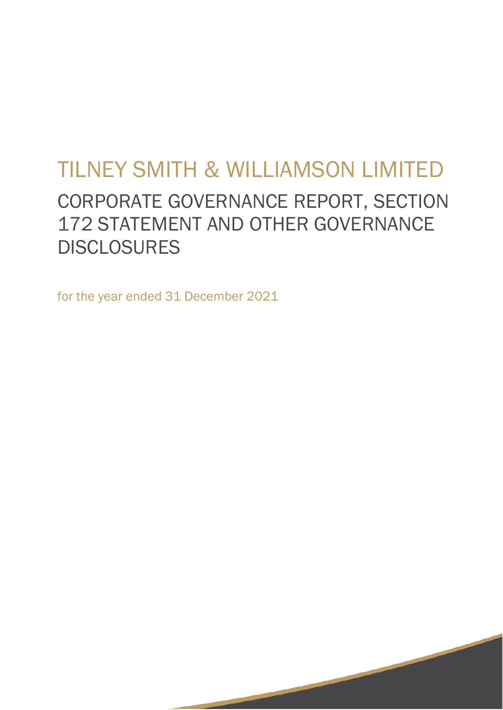# TILNEY SMITH & WILLIAMSON LIMITED

# CORPORATE GOVERNANCE REPORT, SECTION 172 STATEMENT AND OTHER GOVERNANCE **DISCLOSURES**

**1999** The Contract of the Contract of the Contract of the Contract of the Contract of the Contract of the Contract of the Contract of the Contract of the Contract of the Contract of the Contract of the Contract of the Con

for the year ended 31 December 2021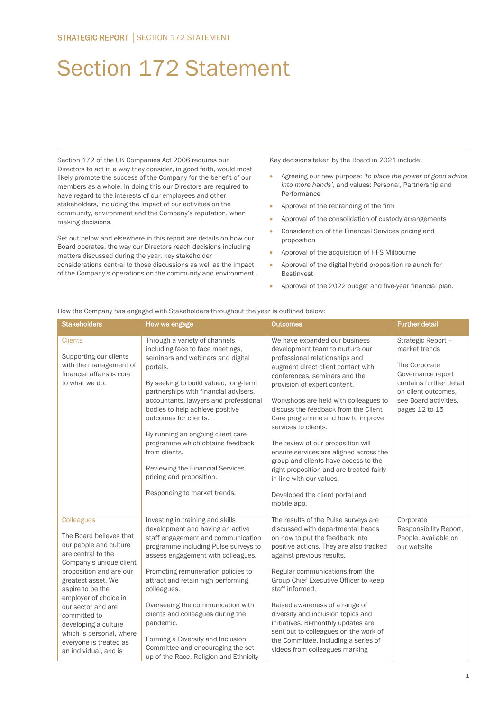# Section 172 Statement

Section 172 of the UK Companies Act 2006 requires our Directors to act in a way they consider, in good faith, would most likely promote the success of the Company for the benefit of our members as a whole. In doing this our Directors are required to have regard to the interests of our employees and other stakeholders, including the impact of our activities on the community, environment and the Company's reputation, when making decisions.

Set out below and elsewhere in this report are details on how our Board operates, the way our Directors reach decisions including matters discussed during the year, key stakeholder considerations central to those discussions as well as the impact of the Company's operations on the community and environment. Key decisions taken by the Board in 2021 include:

- Agreeing our new purpose: *'to place the power of good advice into more hands'*, and values: Personal, Partnership and Performance
- Approval of the rebranding of the firm
- Approval of the consolidation of custody arrangements
- Consideration of the Financial Services pricing and proposition
- Approval of the acquisition of HFS Milbourne
- Approval of the digital hybrid proposition relaunch for Bestinvest
- Approval of the 2022 budget and five-year financial plan.

| <b>Stakeholders</b>                                                                                                                                                                                                                                                                                                                                                | How we engage                                                                                                                                                                                                                                                                                                                                                                                                                                                                                       | <b>Outcomes</b>                                                                                                                                                                                                                                                                                                                                                                                                                                                                                                                                                                                           | <b>Further detail</b>                                                                                                                                                  |
|--------------------------------------------------------------------------------------------------------------------------------------------------------------------------------------------------------------------------------------------------------------------------------------------------------------------------------------------------------------------|-----------------------------------------------------------------------------------------------------------------------------------------------------------------------------------------------------------------------------------------------------------------------------------------------------------------------------------------------------------------------------------------------------------------------------------------------------------------------------------------------------|-----------------------------------------------------------------------------------------------------------------------------------------------------------------------------------------------------------------------------------------------------------------------------------------------------------------------------------------------------------------------------------------------------------------------------------------------------------------------------------------------------------------------------------------------------------------------------------------------------------|------------------------------------------------------------------------------------------------------------------------------------------------------------------------|
| <b>Clients</b><br>Supporting our clients<br>with the management of<br>financial affairs is core<br>to what we do.                                                                                                                                                                                                                                                  | Through a variety of channels<br>including face to face meetings,<br>seminars and webinars and digital<br>portals.<br>By seeking to build valued, long-term<br>partnerships with financial advisers,<br>accountants, lawyers and professional<br>bodies to help achieve positive<br>outcomes for clients.<br>By running an ongoing client care<br>programme which obtains feedback<br>from clients.<br>Reviewing the Financial Services<br>pricing and proposition.<br>Responding to market trends. | We have expanded our business<br>development team to nurture our<br>professional relationships and<br>augment direct client contact with<br>conferences, seminars and the<br>provision of expert content.<br>Workshops are held with colleagues to<br>discuss the feedback from the Client<br>Care programme and how to improve<br>services to clients.<br>The review of our proposition will<br>ensure services are aligned across the<br>group and clients have access to the<br>right proposition and are treated fairly<br>in line with our values.<br>Developed the client portal and<br>mobile app. | Strategic Report -<br>market trends<br>The Corporate<br>Governance report<br>contains further detail<br>on client outcomes.<br>see Board activities,<br>pages 12 to 15 |
| <b>Colleagues</b><br>The Board believes that<br>our people and culture<br>are central to the<br>Company's unique client<br>proposition and are our<br>greatest asset. We<br>aspire to be the<br>employer of choice in<br>our sector and are<br>committed to<br>developing a culture<br>which is personal, where<br>everyone is treated as<br>an individual, and is | Investing in training and skills<br>development and having an active<br>staff engagement and communication<br>programme including Pulse surveys to<br>assess engagement with colleagues.<br>Promoting remuneration policies to<br>attract and retain high performing<br>colleagues.<br>Overseeing the communication with<br>clients and colleagues during the<br>pandemic.<br>Forming a Diversity and Inclusion<br>Committee and encouraging the set-<br>up of the Race, Religion and Ethnicity     | The results of the Pulse surveys are<br>discussed with departmental heads<br>on how to put the feedback into<br>positive actions. They are also tracked<br>against previous results.<br>Regular communications from the<br>Group Chief Executive Officer to keep<br>staff informed.<br>Raised awareness of a range of<br>diversity and inclusion topics and<br>initiatives. Bi-monthly updates are<br>sent out to colleagues on the work of<br>the Committee, including a series of<br>videos from colleagues marking                                                                                     | Corporate<br>Responsibility Report,<br>People, available on<br>our website                                                                                             |

How the Company has engaged with Stakeholders throughout the year is outlined below: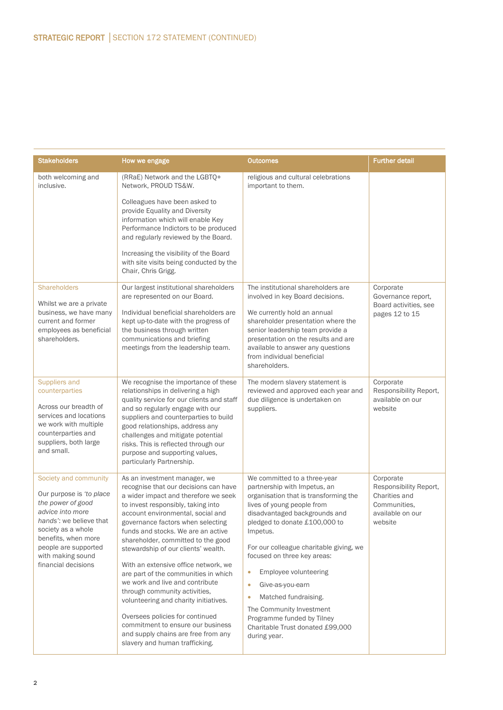| <b>Stakeholders</b>                                                                                                                                                                                                                    | How we engage                                                                                                                                                                                                                                                                                                                                                                                                                                                                                                                                                                                                                                                                                  | <b>Outcomes</b>                                                                                                                                                                                                                                                                                                                                                                                                                                                                                                       | <b>Further detail</b>                                                                               |
|----------------------------------------------------------------------------------------------------------------------------------------------------------------------------------------------------------------------------------------|------------------------------------------------------------------------------------------------------------------------------------------------------------------------------------------------------------------------------------------------------------------------------------------------------------------------------------------------------------------------------------------------------------------------------------------------------------------------------------------------------------------------------------------------------------------------------------------------------------------------------------------------------------------------------------------------|-----------------------------------------------------------------------------------------------------------------------------------------------------------------------------------------------------------------------------------------------------------------------------------------------------------------------------------------------------------------------------------------------------------------------------------------------------------------------------------------------------------------------|-----------------------------------------------------------------------------------------------------|
| both welcoming and<br>inclusive.                                                                                                                                                                                                       | (RRaE) Network and the LGBTO+<br>Network, PROUD TS&W.                                                                                                                                                                                                                                                                                                                                                                                                                                                                                                                                                                                                                                          | religious and cultural celebrations<br>important to them.                                                                                                                                                                                                                                                                                                                                                                                                                                                             |                                                                                                     |
|                                                                                                                                                                                                                                        | Colleagues have been asked to<br>provide Equality and Diversity<br>information which will enable Key<br>Performance Indictors to be produced<br>and regularly reviewed by the Board.                                                                                                                                                                                                                                                                                                                                                                                                                                                                                                           |                                                                                                                                                                                                                                                                                                                                                                                                                                                                                                                       |                                                                                                     |
|                                                                                                                                                                                                                                        | Increasing the visibility of the Board<br>with site visits being conducted by the<br>Chair, Chris Grigg.                                                                                                                                                                                                                                                                                                                                                                                                                                                                                                                                                                                       |                                                                                                                                                                                                                                                                                                                                                                                                                                                                                                                       |                                                                                                     |
| <b>Shareholders</b><br>Whilst we are a private<br>business, we have many<br>current and former<br>employees as beneficial<br>shareholders.                                                                                             | Our largest institutional shareholders<br>are represented on our Board.<br>Individual beneficial shareholders are<br>kept up-to-date with the progress of<br>the business through written<br>communications and briefing<br>meetings from the leadership team.                                                                                                                                                                                                                                                                                                                                                                                                                                 | The institutional shareholders are<br>involved in key Board decisions.<br>We currently hold an annual<br>shareholder presentation where the<br>senior leadership team provide a<br>presentation on the results and are<br>available to answer any questions<br>from individual beneficial<br>shareholders.                                                                                                                                                                                                            | Corporate<br>Governance report,<br>Board activities, see<br>pages 12 to 15                          |
| Suppliers and<br>counterparties<br>Across our breadth of<br>services and locations<br>we work with multiple<br>counterparties and<br>suppliers, both large<br>and small.                                                               | We recognise the importance of these<br>relationships in delivering a high<br>quality service for our clients and staff<br>and so regularly engage with our<br>suppliers and counterparties to build<br>good relationships, address any<br>challenges and mitigate potential<br>risks. This is reflected through our<br>purpose and supporting values,<br>particularly Partnership.                                                                                                                                                                                                                                                                                                            | The modern slavery statement is<br>reviewed and approved each year and<br>due diligence is undertaken on<br>suppliers.                                                                                                                                                                                                                                                                                                                                                                                                | Corporate<br>Responsibility Report.<br>available on our<br>website                                  |
| Society and community<br>Our purpose is 'to place<br>the power of good<br>advice into more<br>hands': we believe that<br>society as a whole<br>benefits, when more<br>people are supported<br>with making sound<br>financial decisions | As an investment manager, we<br>recognise that our decisions can have<br>a wider impact and therefore we seek<br>to invest responsibly, taking into<br>account environmental, social and<br>governance factors when selecting<br>funds and stocks. We are an active<br>shareholder, committed to the good<br>stewardship of our clients' wealth.<br>With an extensive office network, we<br>are part of the communities in which<br>we work and live and contribute<br>through community activities,<br>volunteering and charity initiatives.<br>Oversees policies for continued<br>commitment to ensure our business<br>and supply chains are free from any<br>slavery and human trafficking. | We committed to a three-year<br>partnership with Impetus, an<br>organisation that is transforming the<br>lives of young people from<br>disadvantaged backgrounds and<br>pledged to donate £100,000 to<br>Impetus.<br>For our colleague charitable giving, we<br>focused on three key areas:<br>Employee volunteering<br>$\bullet$<br>Give-as-you-earn<br>$\bullet$<br>Matched fundraising.<br>$\bullet$<br>The Community Investment<br>Programme funded by Tilney<br>Charitable Trust donated £99,000<br>during year. | Corporate<br>Responsibility Report,<br>Charities and<br>Communities.<br>available on our<br>website |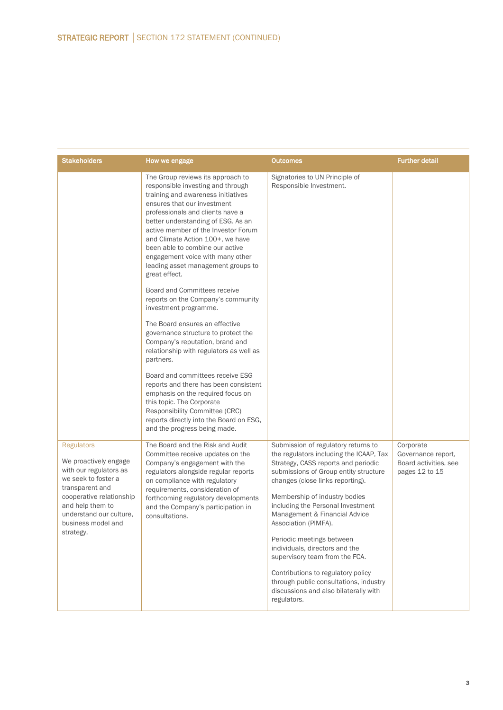| <b>Stakeholders</b>                                                                                                                                                                                                          | How we engage                                                                                                                                                                                                                                                                                                                                                                                                                                                                                                                                                                                                                                                                                                                                                                                                                                                                                                                                                 | <b>Outcomes</b>                                                                                                                                                                                                                                                                                                                                                                                                                                                                                                                                                            | <b>Further detail</b>                                                      |
|------------------------------------------------------------------------------------------------------------------------------------------------------------------------------------------------------------------------------|---------------------------------------------------------------------------------------------------------------------------------------------------------------------------------------------------------------------------------------------------------------------------------------------------------------------------------------------------------------------------------------------------------------------------------------------------------------------------------------------------------------------------------------------------------------------------------------------------------------------------------------------------------------------------------------------------------------------------------------------------------------------------------------------------------------------------------------------------------------------------------------------------------------------------------------------------------------|----------------------------------------------------------------------------------------------------------------------------------------------------------------------------------------------------------------------------------------------------------------------------------------------------------------------------------------------------------------------------------------------------------------------------------------------------------------------------------------------------------------------------------------------------------------------------|----------------------------------------------------------------------------|
|                                                                                                                                                                                                                              | The Group reviews its approach to<br>responsible investing and through<br>training and awareness initiatives<br>ensures that our investment<br>professionals and clients have a<br>better understanding of ESG. As an<br>active member of the Investor Forum<br>and Climate Action 100+, we have<br>been able to combine our active<br>engagement voice with many other<br>leading asset management groups to<br>great effect.<br>Board and Committees receive<br>reports on the Company's community<br>investment programme.<br>The Board ensures an effective<br>governance structure to protect the<br>Company's reputation, brand and<br>relationship with regulators as well as<br>partners.<br>Board and committees receive ESG<br>reports and there has been consistent<br>emphasis on the required focus on<br>this topic. The Corporate<br>Responsibility Committee (CRC)<br>reports directly into the Board on ESG,<br>and the progress being made. | Signatories to UN Principle of<br>Responsible Investment.                                                                                                                                                                                                                                                                                                                                                                                                                                                                                                                  |                                                                            |
| <b>Regulators</b><br>We proactively engage<br>with our regulators as<br>we seek to foster a<br>transparent and<br>cooperative relationship<br>and help them to<br>understand our culture.<br>business model and<br>strategy. | The Board and the Risk and Audit<br>Committee receive updates on the<br>Company's engagement with the<br>regulators alongside regular reports<br>on compliance with regulatory<br>requirements, consideration of<br>forthcoming regulatory developments<br>and the Company's participation in<br>consultations.                                                                                                                                                                                                                                                                                                                                                                                                                                                                                                                                                                                                                                               | Submission of regulatory returns to<br>the regulators including the ICAAP, Tax<br>Strategy, CASS reports and periodic<br>submissions of Group entity structure<br>changes (close links reporting).<br>Membership of industry bodies<br>including the Personal Investment<br>Management & Financial Advice<br>Association (PIMFA).<br>Periodic meetings between<br>individuals, directors and the<br>supervisory team from the FCA.<br>Contributions to regulatory policy<br>through public consultations, industry<br>discussions and also bilaterally with<br>regulators. | Corporate<br>Governance report,<br>Board activities, see<br>pages 12 to 15 |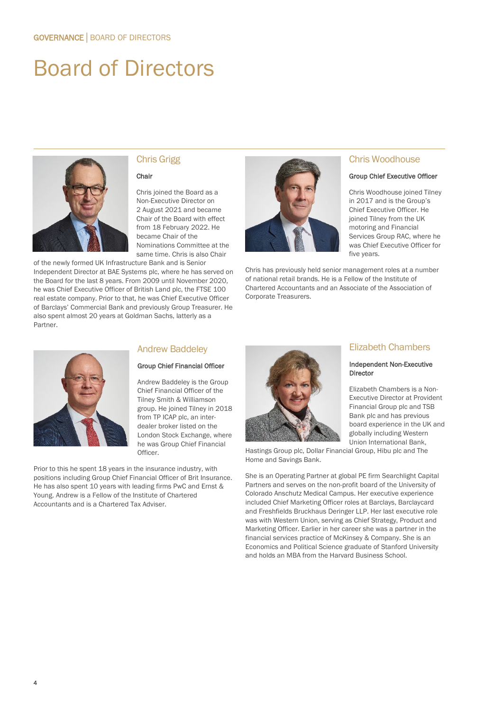# Board of Directors



# Chris Grigg

#### Chair

Chris joined the Board as a Non-Executive Director on 2 August 2021 and became Chair of the Board with effect from 18 February 2022. He became Chair of the Nominations Committee at the same time. Chris is also Chair

of the newly formed UK Infrastructure Bank and is Senior Independent Director at BAE Systems plc, where he has served on the Board for the last 8 years. From 2009 until November 2020, he was Chief Executive Officer of British Land plc, the FTSE 100 real estate company. Prior to that, he was Chief Executive Officer of Barclays' Commercial Bank and previously Group Treasurer. He also spent almost 20 years at Goldman Sachs, latterly as a Partner.



#### Chris Woodhouse

#### Group Chief Executive Officer

Chris Woodhouse joined Tilney in 2017 and is the Group's Chief Executive Officer. He joined Tilney from the UK motoring and Financial Services Group RAC, where he was Chief Executive Officer for five years.

Chris has previously held senior management roles at a number of national retail brands. He is a Fellow of the Institute of Chartered Accountants and an Associate of the Association of Corporate Treasurers.



### Andrew Baddeley

#### Group Chief Financial Officer

Andrew Baddeley is the Group Chief Financial Officer of the Tilney Smith & Williamson group. He joined Tilney in 2018 from TP ICAP plc, an interdealer broker listed on the London Stock Exchange, where he was Group Chief Financial Officer.

Prior to this he spent 18 years in the insurance industry, with positions including Group Chief Financial Officer of Brit Insurance. He has also spent 10 years with leading firms PwC and Ernst & Young. Andrew is a Fellow of the Institute of Chartered Accountants and is a Chartered Tax Adviser.



# Elizabeth Chambers

#### Independent Non-Executive Director

Elizabeth Chambers is a Non-Executive Director at Provident Financial Group plc and TSB Bank plc and has previous board experience in the UK and globally including Western Union International Bank,

Hastings Group plc, Dollar Financial Group, Hibu plc and The Home and Savings Bank.

She is an Operating Partner at global PE firm Searchlight Capital Partners and serves on the non-profit board of the University of Colorado Anschutz Medical Campus. Her executive experience included Chief Marketing Officer roles at Barclays, Barclaycard and Freshfields Bruckhaus Deringer LLP. Her last executive role was with Western Union, serving as Chief Strategy, Product and Marketing Officer. Earlier in her career she was a partner in the financial services practice of McKinsey & Company. She is an Economics and Political Science graduate of Stanford University and holds an MBA from the Harvard Business School.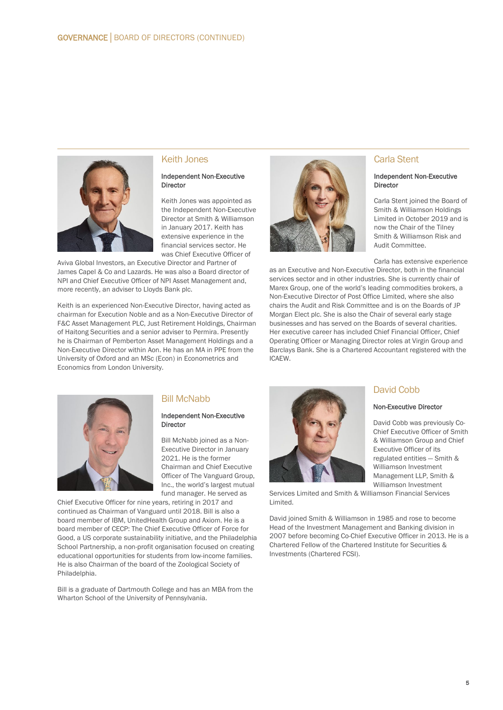

#### Keith Jones

#### Independent Non-Executive Director

Keith Jones was appointed as the Independent Non-Executive Director at Smith & Williamson in January 2017. Keith has extensive experience in the financial services sector. He was Chief Executive Officer of

Aviva Global Investors, an Executive Director and Partner of James Capel & Co and Lazards. He was also a Board director of NPI and Chief Executive Officer of NPI Asset Management and, more recently, an adviser to Lloyds Bank plc.

Keith is an experienced Non-Executive Director, having acted as chairman for Execution Noble and as a Non-Executive Director of F&C Asset Management PLC, Just Retirement Holdings, Chairman of Haitong Securities and a senior adviser to Permira. Presently he is Chairman of Pemberton Asset Management Holdings and a Non-Executive Director within Aon. He has an MA in PPE from the University of Oxford and an MSc (Econ) in Econometrics and Economics from London University.



# Carla Stent

#### Independent Non-Executive Director

Carla Stent joined the Board of Smith & Williamson Holdings Limited in October 2019 and is now the Chair of the Tilney Smith & Williamson Risk and Audit Committee.

Carla has extensive experience

as an Executive and Non-Executive Director, both in the financial services sector and in other industries. She is currently chair of Marex Group, one of the world's leading commodities brokers, a Non-Executive Director of Post Office Limited, where she also chairs the Audit and Risk Committee and is on the Boards of JP Morgan Elect plc. She is also the Chair of several early stage businesses and has served on the Boards of several charities. Her executive career has included Chief Financial Officer, Chief Operating Officer or Managing Director roles at Virgin Group and Barclays Bank. She is a Chartered Accountant registered with the ICAEW.



# Bill McNabb

#### Independent Non-Executive Director

Bill McNabb joined as a Non-Executive Director in January 2021. He is the former Chairman and Chief Executive Officer of The Vanguard Group, Inc., the world's largest mutual fund manager. He served as

Chief Executive Officer for nine years, retiring in 2017 and continued as Chairman of Vanguard until 2018. Bill is also a board member of IBM, UnitedHealth Group and Axiom. He is a board member of CECP: The Chief Executive Officer of Force for Good, a US corporate sustainability initiative, and the Philadelphia School Partnership, a non-profit organisation focused on creating educational opportunities for students from low-income families. He is also Chairman of the board of the Zoological Society of Philadelphia.

Bill is a graduate of Dartmouth College and has an MBA from the Wharton School of the University of Pennsylvania.



Williamson Investment Services Limited and Smith & Williamson Financial Services Limited.

David joined Smith & Williamson in 1985 and rose to become Head of the Investment Management and Banking division in 2007 before becoming Co-Chief Executive Officer in 2013. He is a Chartered Fellow of the Chartered Institute for Securities & Investments (Chartered FCSI).

# David Cobb

#### Non-Executive Director

David Cobb was previously Co-Chief Executive Officer of Smith & Williamson Group and Chief Executive Officer of its regulated entities — Smith & Williamson Investment Management LLP, Smith &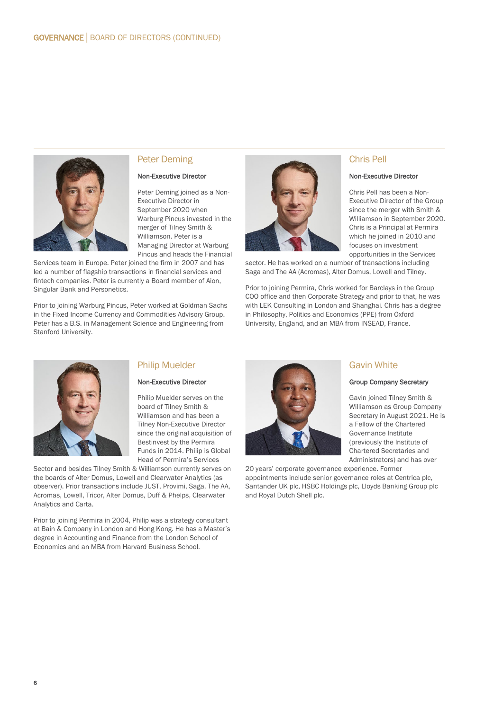

### Peter Deming

#### Non-Executive Director

Peter Deming joined as a Non-Executive Director in September 2020 when Warburg Pincus invested in the merger of Tilney Smith & Williamson. Peter is a Managing Director at Warburg Pincus and heads the Financial

Services team in Europe. Peter joined the firm in 2007 and has led a number of flagship transactions in financial services and fintech companies. Peter is currently a Board member of Aion, Singular Bank and Personetics.

Prior to joining Warburg Pincus, Peter worked at Goldman Sachs in the Fixed Income Currency and Commodities Advisory Group. Peter has a B.S. in Management Science and Engineering from Stanford University.



### Chris Pell

#### Non-Executive Director

Chris Pell has been a Non-Executive Director of the Group since the merger with Smith & Williamson in September 2020. Chris is a Principal at Permira which he joined in 2010 and focuses on investment opportunities in the Services

sector. He has worked on a number of transactions including Saga and The AA (Acromas), Alter Domus, Lowell and Tilney.

Prior to joining Permira, Chris worked for Barclays in the Group COO office and then Corporate Strategy and prior to that, he was with LEK Consulting in London and Shanghai. Chris has a degree in Philosophy, Politics and Economics (PPE) from Oxford University, England, and an MBA from INSEAD, France.



# Philip Muelder

#### Non-Executive Director

Philip Muelder serves on the board of Tilney Smith & Williamson and has been a Tilney Non-Executive Director since the original acquisition of Bestinvest by the Permira Funds in 2014. Philip is Global Head of Permira's Services

Sector and besides Tilney Smith & Williamson currently serves on the boards of Alter Domus, Lowell and Clearwater Analytics (as observer). Prior transactions include JUST, Provimi, Saga, The AA, Acromas, Lowell, Tricor, Alter Domus, Duff & Phelps, Clearwater Analytics and Carta.

Prior to joining Permira in 2004, Philip was a strategy consultant at Bain & Company in London and Hong Kong. He has a Master's degree in Accounting and Finance from the London School of Economics and an MBA from Harvard Business School.



# Gavin White

#### Group Company Secretary

Gavin joined Tilney Smith & Williamson as Group Company Secretary in August 2021. He is a Fellow of the Chartered Governance Institute (previously the Institute of Chartered Secretaries and Administrators) and has over

20 years' corporate governance experience. Former appointments include senior governance roles at Centrica plc, Santander UK plc, HSBC Holdings plc, Lloyds Banking Group plc and Royal Dutch Shell plc.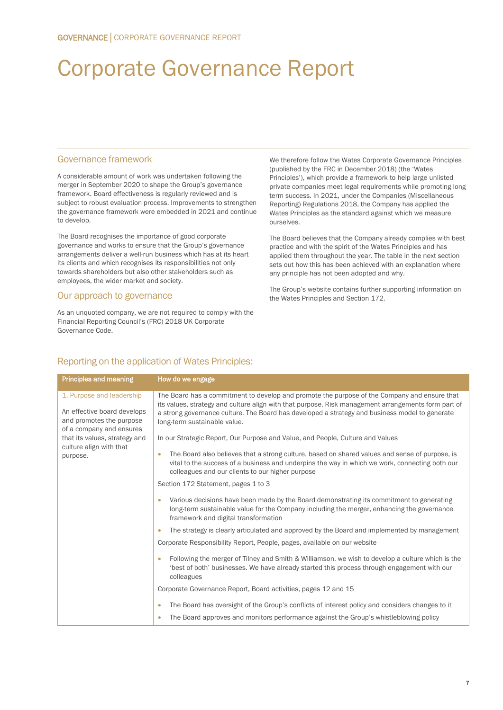# Corporate Governance Report

### Governance framework

A considerable amount of work was undertaken following the merger in September 2020 to shape the Group's governance framework. Board effectiveness is regularly reviewed and is subject to robust evaluation process. Improvements to strengthen the governance framework were embedded in 2021 and continue to develop.

The Board recognises the importance of good corporate governance and works to ensure that the Group's governance arrangements deliver a well-run business which has at its heart its clients and which recognises its responsibilities not only towards shareholders but also other stakeholders such as employees, the wider market and society.

### Our approach to governance

As an unquoted company, we are not required to comply with the Financial Reporting Council's (FRC) 2018 UK Corporate Governance Code.

We therefore follow the Wates Corporate Governance Principles (published by the FRC in December 2018) (the 'Wates Principles'), which provide a framework to help large unlisted private companies meet legal requirements while promoting long term success. In 2021, under the Companies (Miscellaneous Reporting) Regulations 2018, the Company has applied the Wates Principles as the standard against which we measure ourselves.

The Board believes that the Company already complies with best practice and with the spirit of the Wates Principles and has applied them throughout the year. The table in the next section sets out how this has been achieved with an explanation where any principle has not been adopted and why.

The Group's website contains further supporting information on the Wates Principles and Section 172.

# Reporting on the application of Wates Principles:

| Principles and meaning                                                                                           | How do we engage                                                                                                                                                                                                                                                                                                                      |
|------------------------------------------------------------------------------------------------------------------|---------------------------------------------------------------------------------------------------------------------------------------------------------------------------------------------------------------------------------------------------------------------------------------------------------------------------------------|
| 1. Purpose and leadership<br>An effective board develops<br>and promotes the purpose<br>of a company and ensures | The Board has a commitment to develop and promote the purpose of the Company and ensure that<br>its values, strategy and culture align with that purpose. Risk management arrangements form part of<br>a strong governance culture. The Board has developed a strategy and business model to generate<br>long-term sustainable value. |
| that its values, strategy and                                                                                    | In our Strategic Report, Our Purpose and Value, and People, Culture and Values                                                                                                                                                                                                                                                        |
| culture align with that<br>purpose.                                                                              | The Board also believes that a strong culture, based on shared values and sense of purpose, is<br>٠<br>vital to the success of a business and underpins the way in which we work, connecting both our<br>colleagues and our clients to our higher purpose                                                                             |
|                                                                                                                  | Section 172 Statement, pages 1 to 3                                                                                                                                                                                                                                                                                                   |
|                                                                                                                  | Various decisions have been made by the Board demonstrating its commitment to generating<br>۰<br>long-term sustainable value for the Company including the merger, enhancing the governance<br>framework and digital transformation                                                                                                   |
|                                                                                                                  | The strategy is clearly articulated and approved by the Board and implemented by management<br>۰                                                                                                                                                                                                                                      |
|                                                                                                                  | Corporate Responsibility Report, People, pages, available on our website                                                                                                                                                                                                                                                              |
|                                                                                                                  | Following the merger of Tilney and Smith & Williamson, we wish to develop a culture which is the<br>٠<br>best of both' businesses. We have already started this process through engagement with our<br>colleagues                                                                                                                     |
|                                                                                                                  | Corporate Governance Report, Board activities, pages 12 and 15                                                                                                                                                                                                                                                                        |
|                                                                                                                  | The Board has oversight of the Group's conflicts of interest policy and considers changes to it<br>۰                                                                                                                                                                                                                                  |
|                                                                                                                  | The Board approves and monitors performance against the Group's whistleblowing policy<br>$\bullet$                                                                                                                                                                                                                                    |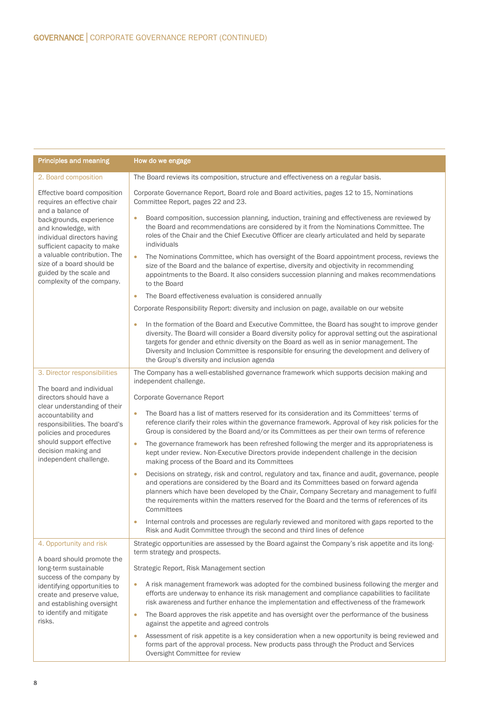| <b>Principles and meaning</b>                                                                                                                                                                                          | How do we engage                                                                                                                                                                                                                                                                                                                                                                                                                                   |
|------------------------------------------------------------------------------------------------------------------------------------------------------------------------------------------------------------------------|----------------------------------------------------------------------------------------------------------------------------------------------------------------------------------------------------------------------------------------------------------------------------------------------------------------------------------------------------------------------------------------------------------------------------------------------------|
| 2. Board composition                                                                                                                                                                                                   | The Board reviews its composition, structure and effectiveness on a regular basis.                                                                                                                                                                                                                                                                                                                                                                 |
| Effective board composition<br>requires an effective chair<br>and a balance of<br>backgrounds, experience<br>and knowledge, with<br>individual directors having<br>sufficient capacity to make                         | Corporate Governance Report, Board role and Board activities, pages 12 to 15, Nominations<br>Committee Report, pages 22 and 23.                                                                                                                                                                                                                                                                                                                    |
|                                                                                                                                                                                                                        | Board composition, succession planning, induction, training and effectiveness are reviewed by<br>$\bullet$<br>the Board and recommendations are considered by it from the Nominations Committee. The<br>roles of the Chair and the Chief Executive Officer are clearly articulated and held by separate<br>individuals                                                                                                                             |
| a valuable contribution. The<br>size of a board should be<br>guided by the scale and<br>complexity of the company.                                                                                                     | The Nominations Committee, which has oversight of the Board appointment process, reviews the<br>$\bullet$<br>size of the Board and the balance of expertise, diversity and objectivity in recommending<br>appointments to the Board. It also considers succession planning and makes recommendations<br>to the Board                                                                                                                               |
|                                                                                                                                                                                                                        | The Board effectiveness evaluation is considered annually<br>$\bullet$                                                                                                                                                                                                                                                                                                                                                                             |
|                                                                                                                                                                                                                        | Corporate Responsibility Report: diversity and inclusion on page, available on our website                                                                                                                                                                                                                                                                                                                                                         |
|                                                                                                                                                                                                                        | In the formation of the Board and Executive Committee, the Board has sought to improve gender<br>diversity. The Board will consider a Board diversity policy for approval setting out the aspirational<br>targets for gender and ethnic diversity on the Board as well as in senior management. The<br>Diversity and Inclusion Committee is responsible for ensuring the development and delivery of<br>the Group's diversity and inclusion agenda |
| 3. Director responsibilities                                                                                                                                                                                           | The Company has a well-established governance framework which supports decision making and<br>independent challenge.                                                                                                                                                                                                                                                                                                                               |
| The board and individual                                                                                                                                                                                               | Corporate Governance Report                                                                                                                                                                                                                                                                                                                                                                                                                        |
| directors should have a<br>clear understanding of their<br>accountability and<br>responsibilities. The board's<br>policies and procedures<br>should support effective<br>decision making and<br>independent challenge. | The Board has a list of matters reserved for its consideration and its Committees' terms of<br>$\bullet$<br>reference clarify their roles within the governance framework. Approval of key risk policies for the<br>Group is considered by the Board and/or its Committees as per their own terms of reference                                                                                                                                     |
|                                                                                                                                                                                                                        | The governance framework has been refreshed following the merger and its appropriateness is<br>$\bullet$<br>kept under review. Non-Executive Directors provide independent challenge in the decision<br>making process of the Board and its Committees                                                                                                                                                                                             |
|                                                                                                                                                                                                                        | Decisions on strategy, risk and control, regulatory and tax, finance and audit, governance, people<br>$\bullet$<br>and operations are considered by the Board and its Committees based on forward agenda<br>planners which have been developed by the Chair, Company Secretary and management to fulfil<br>the requirements within the matters reserved for the Board and the terms of references of its<br>Committees                             |
|                                                                                                                                                                                                                        | Internal controls and processes are regularly reviewed and monitored with gaps reported to the<br>Risk and Audit Committee through the second and third lines of defence                                                                                                                                                                                                                                                                           |
| 4. Opportunity and risk                                                                                                                                                                                                | Strategic opportunities are assessed by the Board against the Company's risk appetite and its long-<br>term strategy and prospects.                                                                                                                                                                                                                                                                                                                |
| A board should promote the<br>long-term sustainable<br>success of the company by<br>identifying opportunities to<br>create and preserve value,<br>and establishing oversight<br>to identify and mitigate<br>risks.     | Strategic Report, Risk Management section                                                                                                                                                                                                                                                                                                                                                                                                          |
|                                                                                                                                                                                                                        | A risk management framework was adopted for the combined business following the merger and<br>$\bullet$<br>efforts are underway to enhance its risk management and compliance capabilities to facilitate<br>risk awareness and further enhance the implementation and effectiveness of the framework                                                                                                                                               |
|                                                                                                                                                                                                                        | The Board approves the risk appetite and has oversight over the performance of the business<br>$\bullet$<br>against the appetite and agreed controls                                                                                                                                                                                                                                                                                               |
|                                                                                                                                                                                                                        | Assessment of risk appetite is a key consideration when a new opportunity is being reviewed and<br>$\bullet$<br>forms part of the approval process. New products pass through the Product and Services<br>Oversight Committee for review                                                                                                                                                                                                           |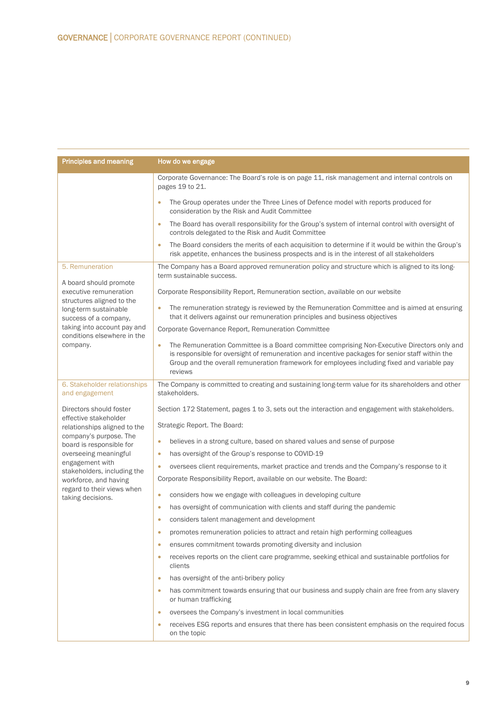| <b>Principles and meaning</b>                                                                               | How do we engage                                                                                                                                                                                                                                                                                                      |  |  |
|-------------------------------------------------------------------------------------------------------------|-----------------------------------------------------------------------------------------------------------------------------------------------------------------------------------------------------------------------------------------------------------------------------------------------------------------------|--|--|
|                                                                                                             | Corporate Governance: The Board's role is on page 11, risk management and internal controls on<br>pages 19 to 21.                                                                                                                                                                                                     |  |  |
|                                                                                                             | The Group operates under the Three Lines of Defence model with reports produced for<br>$\bullet$<br>consideration by the Risk and Audit Committee                                                                                                                                                                     |  |  |
|                                                                                                             | The Board has overall responsibility for the Group's system of internal control with oversight of<br>$\bullet$<br>controls delegated to the Risk and Audit Committee                                                                                                                                                  |  |  |
|                                                                                                             | The Board considers the merits of each acquisition to determine if it would be within the Group's<br>$\bullet$<br>risk appetite, enhances the business prospects and is in the interest of all stakeholders                                                                                                           |  |  |
| 5. Remuneration<br>A board should promote                                                                   | The Company has a Board approved remuneration policy and structure which is aligned to its long-<br>term sustainable success.                                                                                                                                                                                         |  |  |
| executive remuneration                                                                                      | Corporate Responsibility Report, Remuneration section, available on our website                                                                                                                                                                                                                                       |  |  |
| structures aligned to the<br>long-term sustainable<br>success of a company,                                 | The remuneration strategy is reviewed by the Remuneration Committee and is aimed at ensuring<br>$\bullet$<br>that it delivers against our remuneration principles and business objectives                                                                                                                             |  |  |
| taking into account pay and<br>conditions elsewhere in the                                                  | Corporate Governance Report, Remuneration Committee                                                                                                                                                                                                                                                                   |  |  |
| company.                                                                                                    | The Remuneration Committee is a Board committee comprising Non-Executive Directors only and<br>$\bullet$<br>is responsible for oversight of remuneration and incentive packages for senior staff within the<br>Group and the overall remuneration framework for employees including fixed and variable pay<br>reviews |  |  |
| 6. Stakeholder relationships<br>and engagement                                                              | The Company is committed to creating and sustaining long-term value for its shareholders and other<br>stakeholders.                                                                                                                                                                                                   |  |  |
| Directors should foster                                                                                     | Section 172 Statement, pages 1 to 3, sets out the interaction and engagement with stakeholders.                                                                                                                                                                                                                       |  |  |
| effective stakeholder<br>relationships aligned to the<br>company's purpose. The<br>board is responsible for | Strategic Report. The Board:                                                                                                                                                                                                                                                                                          |  |  |
|                                                                                                             | believes in a strong culture, based on shared values and sense of purpose<br>۰                                                                                                                                                                                                                                        |  |  |
| overseeing meaningful                                                                                       | has oversight of the Group's response to COVID-19<br>$\bullet$                                                                                                                                                                                                                                                        |  |  |
| engagement with<br>stakeholders, including the<br>workforce, and having                                     | oversees client requirements, market practice and trends and the Company's response to it<br>۰                                                                                                                                                                                                                        |  |  |
|                                                                                                             | Corporate Responsibility Report, available on our website. The Board:                                                                                                                                                                                                                                                 |  |  |
| regard to their views when<br>taking decisions.                                                             | considers how we engage with colleagues in developing culture<br>۰                                                                                                                                                                                                                                                    |  |  |
|                                                                                                             | has oversight of communication with clients and staff during the pandemic<br>$\bullet$                                                                                                                                                                                                                                |  |  |
|                                                                                                             | considers talent management and development<br>٠                                                                                                                                                                                                                                                                      |  |  |
|                                                                                                             | promotes remuneration policies to attract and retain high performing colleagues<br>$\bullet$                                                                                                                                                                                                                          |  |  |
|                                                                                                             | ensures commitment towards promoting diversity and inclusion<br>$\bullet$                                                                                                                                                                                                                                             |  |  |
|                                                                                                             | receives reports on the client care programme, seeking ethical and sustainable portfolios for<br>۰<br>clients                                                                                                                                                                                                         |  |  |
|                                                                                                             | has oversight of the anti-bribery policy<br>$\bullet$                                                                                                                                                                                                                                                                 |  |  |
|                                                                                                             | has commitment towards ensuring that our business and supply chain are free from any slavery<br>$\bullet$<br>or human trafficking                                                                                                                                                                                     |  |  |
|                                                                                                             | oversees the Company's investment in local communities<br>۰                                                                                                                                                                                                                                                           |  |  |
|                                                                                                             | receives ESG reports and ensures that there has been consistent emphasis on the required focus<br>$\bullet$<br>on the topic                                                                                                                                                                                           |  |  |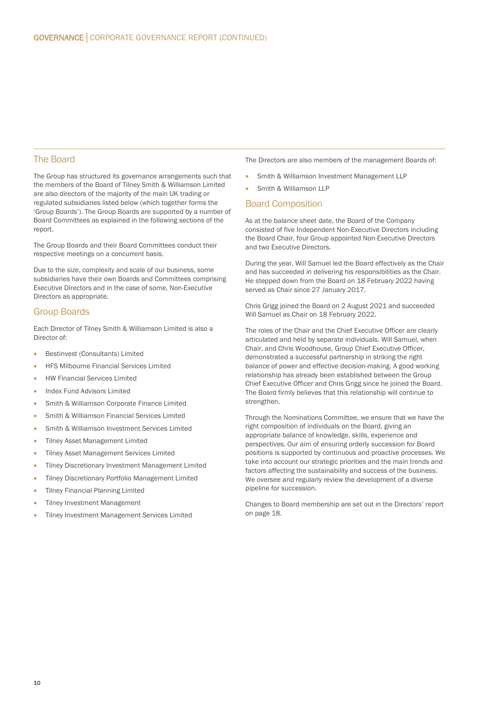### The Board

The Group has structured its governance arrangements such that the members of the Board of Tilney Smith & Williamson Limited are also directors of the majority of the main UK trading or regulated subsidiaries listed below (which together forms the 'Group Boards'). The Group Boards are supported by a number of Board Committees as explained in the following sections of the report.

The Group Boards and their Board Committees conduct their respective meetings on a concurrent basis.

Due to the size, complexity and scale of our business, some subsidiaries have their own Boards and Committees comprising Executive Directors and in the case of some, Non-Executive Directors as appropriate.

### Group Boards

Each Director of Tilney Smith & Williamson Limited is also a Director of:

- Bestinvest (Consultants) Limited
- HFS Milbourne Financial Services Limited
- HW Financial Services Limited
- Index Fund Advisors Limited
- Smith & Williamson Corporate Finance Limited
- Smith & Williamson Financial Services Limited
- Smith & Williamson Investment Services Limited
- Tilney Asset Management Limited
- Tilney Asset Management Services Limited
- Tilney Discretionary Investment Management Limited
- Tilney Discretionary Portfolio Management Limited
- Tilney Financial Planning Limited
- **Tilney Investment Management**
- Tilney Investment Management Services Limited
- The Directors are also members of the management Boards of:
- Smith & Williamson Investment Management LLP
- Smith & Williamson LLP

#### Board Composition

As at the balance sheet date, the Board of the Company consisted of five Independent Non-Executive Directors including the Board Chair, four Group appointed Non-Executive Directors and two Executive Directors.

During the year, Will Samuel led the Board effectively as the Chair and has succeeded in delivering his responsibilities as the Chair. He stepped down from the Board on 18 February 2022 having served as Chair since 27 January 2017.

Chris Grigg joined the Board on 2 August 2021 and succeeded Will Samuel as Chair on 18 February 2022.

The roles of the Chair and the Chief Executive Officer are clearly articulated and held by separate individuals. Will Samuel, when Chair, and Chris Woodhouse, Group Chief Executive Officer, demonstrated a successful partnership in striking the right balance of power and effective decision-making. A good working relationship has already been established between the Group Chief Executive Officer and Chris Grigg since he joined the Board. The Board firmly believes that this relationship will continue to strengthen.

Through the Nominations Committee, we ensure that we have the right composition of individuals on the Board, giving an appropriate balance of knowledge, skills, experience and perspectives. Our aim of ensuring orderly succession for Board positions is supported by continuous and proactive processes. We take into account our strategic priorities and the main trends and factors affecting the sustainability and success of the business. We oversee and regularly review the development of a diverse pipeline for succession.

Changes to Board membership are set out in the Directors' report on page 18.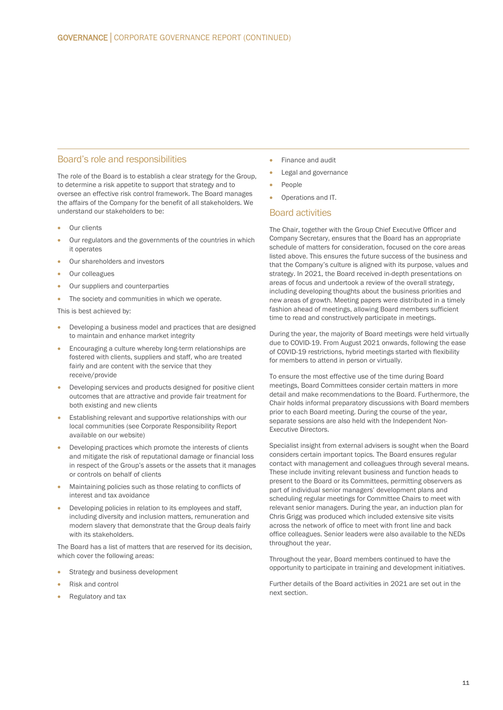#### Board's role and responsibilities

The role of the Board is to establish a clear strategy for the Group, to determine a risk appetite to support that strategy and to oversee an effective risk control framework. The Board manages the affairs of the Company for the benefit of all stakeholders. We understand our stakeholders to be:

- Our clients
- Our regulators and the governments of the countries in which it operates
- Our shareholders and investors
- Our colleagues
- Our suppliers and counterparties
- The society and communities in which we operate.

This is best achieved by:

- Developing a business model and practices that are designed to maintain and enhance market integrity
- Encouraging a culture whereby long-term relationships are fostered with clients, suppliers and staff, who are treated fairly and are content with the service that they receive/provide
- Developing services and products designed for positive client outcomes that are attractive and provide fair treatment for both existing and new clients
- Establishing relevant and supportive relationships with our local communities (see Corporate Responsibility Report available on our website)
- Developing practices which promote the interests of clients and mitigate the risk of reputational damage or financial loss in respect of the Group's assets or the assets that it manages or controls on behalf of clients
- Maintaining policies such as those relating to conflicts of interest and tax avoidance
- Developing policies in relation to its employees and staff, including diversity and inclusion matters, remuneration and modern slavery that demonstrate that the Group deals fairly with its stakeholders.

The Board has a list of matters that are reserved for its decision, which cover the following areas:

- Strategy and business development
- Risk and control
- Regulatory and tax
- Finance and audit
- Legal and governance
- People
- Operations and IT.

#### Board activities

The Chair, together with the Group Chief Executive Officer and Company Secretary, ensures that the Board has an appropriate schedule of matters for consideration, focused on the core areas listed above. This ensures the future success of the business and that the Company's culture is aligned with its purpose, values and strategy. In 2021, the Board received in-depth presentations on areas of focus and undertook a review of the overall strategy, including developing thoughts about the business priorities and new areas of growth. Meeting papers were distributed in a timely fashion ahead of meetings, allowing Board members sufficient time to read and constructively participate in meetings.

During the year, the majority of Board meetings were held virtually due to COVID-19. From August 2021 onwards, following the ease of COVID-19 restrictions, hybrid meetings started with flexibility for members to attend in person or virtually.

To ensure the most effective use of the time during Board meetings, Board Committees consider certain matters in more detail and make recommendations to the Board. Furthermore, the Chair holds informal preparatory discussions with Board members prior to each Board meeting. During the course of the year, separate sessions are also held with the Independent Non-Executive Directors.

Specialist insight from external advisers is sought when the Board considers certain important topics. The Board ensures regular contact with management and colleagues through several means. These include inviting relevant business and function heads to present to the Board or its Committees, permitting observers as part of individual senior managers' development plans and scheduling regular meetings for Committee Chairs to meet with relevant senior managers. During the year, an induction plan for Chris Grigg was produced which included extensive site visits across the network of office to meet with front line and back office colleagues. Senior leaders were also available to the NEDs throughout the year.

Throughout the year, Board members continued to have the opportunity to participate in training and development initiatives.

Further details of the Board activities in 2021 are set out in the next section.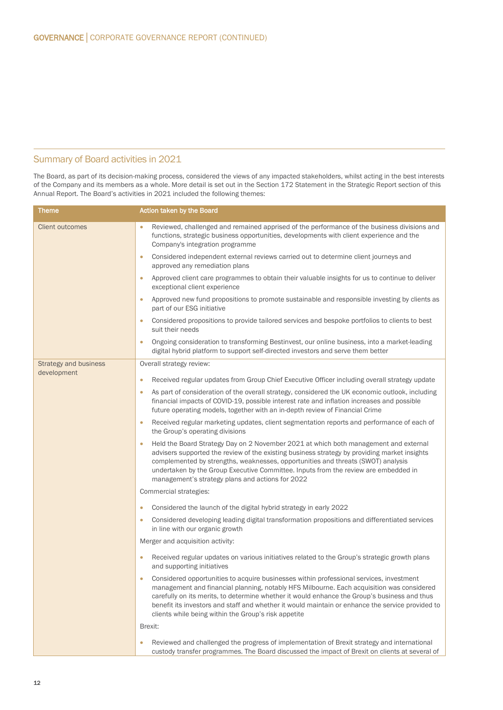# Summary of Board activities in 2021

The Board, as part of its decision-making process, considered the views of any impacted stakeholders, whilst acting in the best interests of the Company and its members as a whole. More detail is set out in the Section 172 Statement in the Strategic Report section of this Annual Report. The Board's activities in 2021 included the following themes:

| Theme                        | <b>Action taken by the Board</b>                                                                                                                                                                                                                                                                                                                                                                                                                      |
|------------------------------|-------------------------------------------------------------------------------------------------------------------------------------------------------------------------------------------------------------------------------------------------------------------------------------------------------------------------------------------------------------------------------------------------------------------------------------------------------|
| <b>Client outcomes</b>       | Reviewed, challenged and remained apprised of the performance of the business divisions and<br>ö<br>functions, strategic business opportunities, developments with client experience and the<br>Company's integration programme                                                                                                                                                                                                                       |
|                              | Considered independent external reviews carried out to determine client journeys and<br>ö<br>approved any remediation plans                                                                                                                                                                                                                                                                                                                           |
|                              | Approved client care programmes to obtain their valuable insights for us to continue to deliver<br>ö<br>exceptional client experience                                                                                                                                                                                                                                                                                                                 |
|                              | Approved new fund propositions to promote sustainable and responsible investing by clients as<br>$\bullet$<br>part of our ESG initiative                                                                                                                                                                                                                                                                                                              |
|                              | Considered propositions to provide tailored services and bespoke portfolios to clients to best<br>۰<br>suit their needs                                                                                                                                                                                                                                                                                                                               |
|                              | Ongoing consideration to transforming Bestinvest, our online business, into a market-leading<br>۰<br>digital hybrid platform to support self-directed investors and serve them better                                                                                                                                                                                                                                                                 |
| <b>Strategy and business</b> | Overall strategy review:                                                                                                                                                                                                                                                                                                                                                                                                                              |
| development                  | Received regular updates from Group Chief Executive Officer including overall strategy update<br>$\bullet$                                                                                                                                                                                                                                                                                                                                            |
|                              | As part of consideration of the overall strategy, considered the UK economic outlook, including<br>$\bullet$<br>financial impacts of COVID-19, possible interest rate and inflation increases and possible<br>future operating models, together with an in-depth review of Financial Crime                                                                                                                                                            |
|                              | Received regular marketing updates, client segmentation reports and performance of each of<br>$\bullet$<br>the Group's operating divisions                                                                                                                                                                                                                                                                                                            |
|                              | Held the Board Strategy Day on 2 November 2021 at which both management and external<br>ö<br>advisers supported the review of the existing business strategy by providing market insights<br>complemented by strengths, weaknesses, opportunities and threats (SWOT) analysis<br>undertaken by the Group Executive Committee. Inputs from the review are embedded in<br>management's strategy plans and actions for 2022                              |
|                              | Commercial strategies:                                                                                                                                                                                                                                                                                                                                                                                                                                |
|                              | Considered the launch of the digital hybrid strategy in early 2022<br>۰                                                                                                                                                                                                                                                                                                                                                                               |
|                              | Considered developing leading digital transformation propositions and differentiated services<br>۰<br>in line with our organic growth                                                                                                                                                                                                                                                                                                                 |
|                              | Merger and acquisition activity:                                                                                                                                                                                                                                                                                                                                                                                                                      |
|                              | Received regular updates on various initiatives related to the Group's strategic growth plans<br>۰<br>and supporting initiatives                                                                                                                                                                                                                                                                                                                      |
|                              | Considered opportunities to acquire businesses within professional services, investment<br>۰<br>management and financial planning, notably HFS Milbourne. Each acquisition was considered<br>carefully on its merits, to determine whether it would enhance the Group's business and thus<br>benefit its investors and staff and whether it would maintain or enhance the service provided to<br>clients while being within the Group's risk appetite |
|                              | Brexit:                                                                                                                                                                                                                                                                                                                                                                                                                                               |
|                              | Reviewed and challenged the progress of implementation of Brexit strategy and international<br>¢<br>custody transfer programmes. The Board discussed the impact of Brexit on clients at several of                                                                                                                                                                                                                                                    |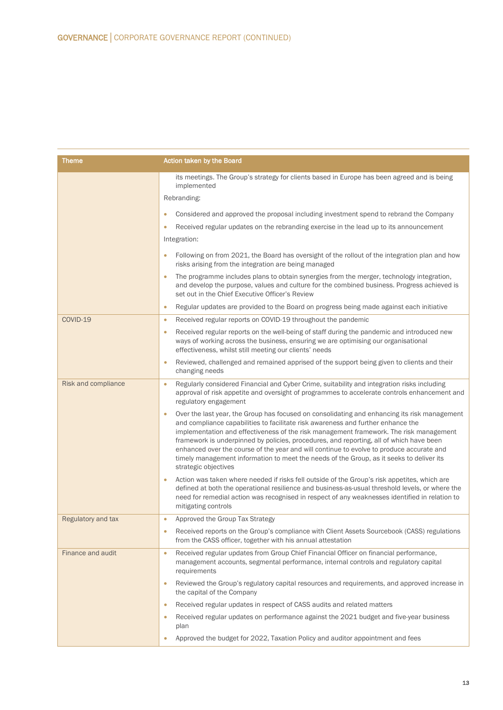| <b>Theme</b>        | <b>Action taken by the Board</b>                                                                                                                                                                                                                                                                                                                                                                                                                                                                                                                                                                   |
|---------------------|----------------------------------------------------------------------------------------------------------------------------------------------------------------------------------------------------------------------------------------------------------------------------------------------------------------------------------------------------------------------------------------------------------------------------------------------------------------------------------------------------------------------------------------------------------------------------------------------------|
|                     | its meetings. The Group's strategy for clients based in Europe has been agreed and is being<br>implemented                                                                                                                                                                                                                                                                                                                                                                                                                                                                                         |
|                     | Rebranding:                                                                                                                                                                                                                                                                                                                                                                                                                                                                                                                                                                                        |
|                     | Considered and approved the proposal including investment spend to rebrand the Company                                                                                                                                                                                                                                                                                                                                                                                                                                                                                                             |
|                     | Received regular updates on the rebranding exercise in the lead up to its announcement<br>$\bullet$                                                                                                                                                                                                                                                                                                                                                                                                                                                                                                |
|                     | Integration:                                                                                                                                                                                                                                                                                                                                                                                                                                                                                                                                                                                       |
|                     | Following on from 2021, the Board has oversight of the rollout of the integration plan and how<br>$\bullet$<br>risks arising from the integration are being managed                                                                                                                                                                                                                                                                                                                                                                                                                                |
|                     | The programme includes plans to obtain synergies from the merger, technology integration,<br>$\bullet$<br>and develop the purpose, values and culture for the combined business. Progress achieved is<br>set out in the Chief Executive Officer's Review                                                                                                                                                                                                                                                                                                                                           |
|                     | Regular updates are provided to the Board on progress being made against each initiative<br>۰                                                                                                                                                                                                                                                                                                                                                                                                                                                                                                      |
| COVID-19            | Received regular reports on COVID-19 throughout the pandemic<br>۰                                                                                                                                                                                                                                                                                                                                                                                                                                                                                                                                  |
|                     | Received regular reports on the well-being of staff during the pandemic and introduced new<br>۰<br>ways of working across the business, ensuring we are optimising our organisational<br>effectiveness, whilst still meeting our clients' needs                                                                                                                                                                                                                                                                                                                                                    |
|                     | Reviewed, challenged and remained apprised of the support being given to clients and their<br>$\bullet$<br>changing needs                                                                                                                                                                                                                                                                                                                                                                                                                                                                          |
| Risk and compliance | Regularly considered Financial and Cyber Crime, suitability and integration risks including<br>۰<br>approval of risk appetite and oversight of programmes to accelerate controls enhancement and<br>regulatory engagement                                                                                                                                                                                                                                                                                                                                                                          |
|                     | Over the last year, the Group has focused on consolidating and enhancing its risk management<br>$\bullet$<br>and compliance capabilities to facilitate risk awareness and further enhance the<br>implementation and effectiveness of the risk management framework. The risk management<br>framework is underpinned by policies, procedures, and reporting, all of which have been<br>enhanced over the course of the year and will continue to evolve to produce accurate and<br>timely management information to meet the needs of the Group, as it seeks to deliver its<br>strategic objectives |
|                     | Action was taken where needed if risks fell outside of the Group's risk appetites, which are<br>$\bullet$<br>defined at both the operational resilience and business-as-usual threshold levels, or where the<br>need for remedial action was recognised in respect of any weaknesses identified in relation to<br>mitigating controls                                                                                                                                                                                                                                                              |
| Regulatory and tax  | Approved the Group Tax Strategy                                                                                                                                                                                                                                                                                                                                                                                                                                                                                                                                                                    |
|                     | Received reports on the Group's compliance with Client Assets Sourcebook (CASS) regulations<br>$\bullet$<br>from the CASS officer, together with his annual attestation                                                                                                                                                                                                                                                                                                                                                                                                                            |
| Finance and audit   | Received regular updates from Group Chief Financial Officer on financial performance,<br>management accounts, segmental performance, internal controls and regulatory capital<br>requirements                                                                                                                                                                                                                                                                                                                                                                                                      |
|                     | Reviewed the Group's regulatory capital resources and requirements, and approved increase in<br>$\bullet$<br>the capital of the Company                                                                                                                                                                                                                                                                                                                                                                                                                                                            |
|                     | Received regular updates in respect of CASS audits and related matters<br>$\bullet$                                                                                                                                                                                                                                                                                                                                                                                                                                                                                                                |
|                     | Received regular updates on performance against the 2021 budget and five-year business<br>plan                                                                                                                                                                                                                                                                                                                                                                                                                                                                                                     |
|                     | Approved the budget for 2022, Taxation Policy and auditor appointment and fees                                                                                                                                                                                                                                                                                                                                                                                                                                                                                                                     |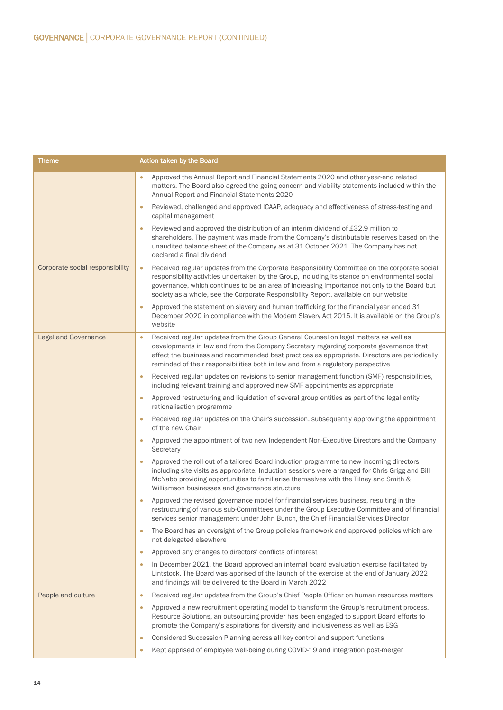| Theme                           | Action taken by the Board                                                                                                                                                                                                                                                                                                                                                                             |  |  |
|---------------------------------|-------------------------------------------------------------------------------------------------------------------------------------------------------------------------------------------------------------------------------------------------------------------------------------------------------------------------------------------------------------------------------------------------------|--|--|
|                                 | Approved the Annual Report and Financial Statements 2020 and other year-end related<br>matters. The Board also agreed the going concern and viability statements included within the<br>Annual Report and Financial Statements 2020                                                                                                                                                                   |  |  |
|                                 | Reviewed, challenged and approved ICAAP, adequacy and effectiveness of stress-testing and<br>$\bullet$<br>capital management                                                                                                                                                                                                                                                                          |  |  |
|                                 | Reviewed and approved the distribution of an interim dividend of £32.9 million to<br>$\bullet$<br>shareholders. The payment was made from the Company's distributable reserves based on the<br>unaudited balance sheet of the Company as at 31 October 2021. The Company has not<br>declared a final dividend                                                                                         |  |  |
| Corporate social responsibility | Received regular updates from the Corporate Responsibility Committee on the corporate social<br>$\bullet$<br>responsibility activities undertaken by the Group, including its stance on environmental social<br>governance, which continues to be an area of increasing importance not only to the Board but<br>society as a whole, see the Corporate Responsibility Report, available on our website |  |  |
|                                 | Approved the statement on slavery and human trafficking for the financial year ended 31<br>December 2020 in compliance with the Modern Slavery Act 2015. It is available on the Group's<br>website                                                                                                                                                                                                    |  |  |
| <b>Legal and Governance</b>     | Received regular updates from the Group General Counsel on legal matters as well as<br>$\bullet$<br>developments in law and from the Company Secretary regarding corporate governance that<br>affect the business and recommended best practices as appropriate. Directors are periodically<br>reminded of their responsibilities both in law and from a regulatory perspective                       |  |  |
|                                 | Received regular updates on revisions to senior management function (SMF) responsibilities,<br>$\bullet$<br>including relevant training and approved new SMF appointments as appropriate                                                                                                                                                                                                              |  |  |
|                                 | Approved restructuring and liquidation of several group entities as part of the legal entity<br>$\bullet$<br>rationalisation programme                                                                                                                                                                                                                                                                |  |  |
|                                 | Received regular updates on the Chair's succession, subsequently approving the appointment<br>$\bullet$<br>of the new Chair                                                                                                                                                                                                                                                                           |  |  |
|                                 | Approved the appointment of two new Independent Non-Executive Directors and the Company<br>Secretary                                                                                                                                                                                                                                                                                                  |  |  |
|                                 | Approved the roll out of a tailored Board induction programme to new incoming directors<br>$\bullet$<br>including site visits as appropriate. Induction sessions were arranged for Chris Grigg and Bill<br>McNabb providing opportunities to familiarise themselves with the Tilney and Smith &<br>Williamson businesses and governance structure                                                     |  |  |
|                                 | Approved the revised governance model for financial services business, resulting in the<br>$\bullet$<br>restructuring of various sub-Committees under the Group Executive Committee and of financial<br>services senior management under John Bunch, the Chief Financial Services Director                                                                                                            |  |  |
|                                 | The Board has an oversight of the Group policies framework and approved policies which are<br>not delegated elsewhere                                                                                                                                                                                                                                                                                 |  |  |
|                                 | Approved any changes to directors' conflicts of interest<br>$\bullet$                                                                                                                                                                                                                                                                                                                                 |  |  |
|                                 | In December 2021, the Board approved an internal board evaluation exercise facilitated by<br>$\bullet$<br>Lintstock. The Board was apprised of the launch of the exercise at the end of January 2022<br>and findings will be delivered to the Board in March 2022                                                                                                                                     |  |  |
| People and culture              | Received regular updates from the Group's Chief People Officer on human resources matters<br>$\bullet$                                                                                                                                                                                                                                                                                                |  |  |
|                                 | Approved a new recruitment operating model to transform the Group's recruitment process.<br>$\bullet$<br>Resource Solutions, an outsourcing provider has been engaged to support Board efforts to<br>promote the Company's aspirations for diversity and inclusiveness as well as ESG                                                                                                                 |  |  |
|                                 | Considered Succession Planning across all key control and support functions<br>$\bullet$                                                                                                                                                                                                                                                                                                              |  |  |
|                                 | Kept apprised of employee well-being during COVID-19 and integration post-merger<br>$\bullet$                                                                                                                                                                                                                                                                                                         |  |  |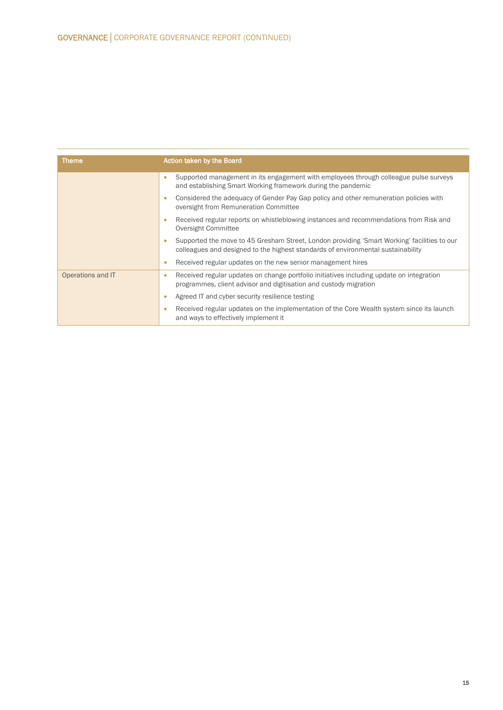| Theme             | Action taken by the Board                                                                                                                                                            |  |  |
|-------------------|--------------------------------------------------------------------------------------------------------------------------------------------------------------------------------------|--|--|
|                   | Supported management in its engagement with employees through colleague pulse surveys<br>۰<br>and establishing Smart Working framework during the pandemic                           |  |  |
|                   | Considered the adequacy of Gender Pay Gap policy and other remuneration policies with<br>oversight from Remuneration Committee                                                       |  |  |
|                   | Received regular reports on whistleblowing instances and recommendations from Risk and<br>٠<br>Oversight Committee                                                                   |  |  |
|                   | Supported the move to 45 Gresham Street, London providing 'Smart Working' facilities to our<br>٠<br>colleagues and designed to the highest standards of environmental sustainability |  |  |
|                   | Received regular updates on the new senior management hires                                                                                                                          |  |  |
| Operations and IT | Received regular updates on change portfolio initiatives including update on integration<br>٠<br>programmes, client advisor and digitisation and custody migration                   |  |  |
|                   | Agreed IT and cyber security resilience testing<br>٠                                                                                                                                 |  |  |
|                   | Received regular updates on the implementation of the Core Wealth system since its launch<br>٠<br>and ways to effectively implement it                                               |  |  |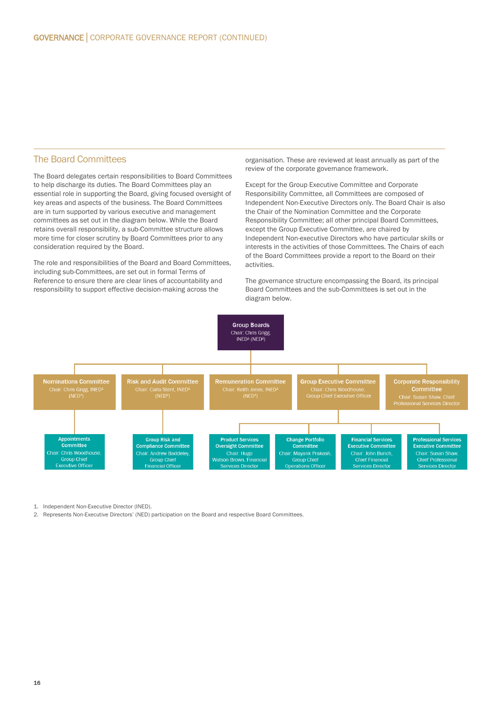#### The Board Committees

The Board delegates certain responsibilities to Board Committees to help discharge its duties. The Board Committees play an essential role in supporting the Board, giving focused oversight of key areas and aspects of the business. The Board Committees are in turn supported by various executive and management committees as set out in the diagram below. While the Board retains overall responsibility, a sub-Committee structure allows more time for closer scrutiny by Board Committees prior to any consideration required by the Board.

The role and responsibilities of the Board and Board Committees, including sub-Committees, are set out in formal Terms of Reference to ensure there are clear lines of accountability and responsibility to support effective decision-making across the

organisation. These are reviewed at least annually as part of the review of the corporate governance framework.

Except for the Group Executive Committee and Corporate Responsibility Committee, all Committees are composed of Independent Non-Executive Directors only. The Board Chair is also the Chair of the Nomination Committee and the Corporate Responsibility Committee; all other principal Board Committees, except the Group Executive Committee, are chaired by Independent Non-executive Directors who have particular skills or interests in the activities of those Committees. The Chairs of each of the Board Committees provide a report to the Board on their activities.

The governance structure encompassing the Board, its principal Board Committees and the sub-Committees is set out in the diagram below.



1. Independent Non-Executive Director (INED).

2. Represents Non-Executive Directors' (NED) participation on the Board and respective Board Committees.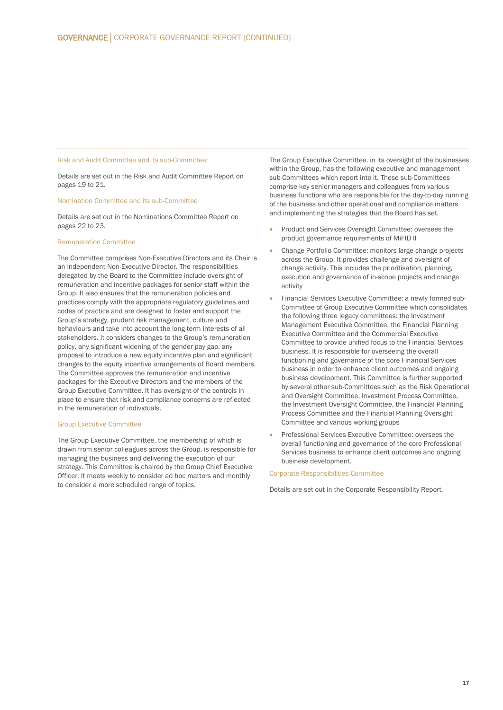#### Risk and Audit Committee and its sub-Committee:

Details are set out in the Risk and Audit Committee Report on pages 19 to 21.

#### Nomination Committee and its sub-Committee

Details are set out in the Nominations Committee Report on pages 22 to 23.

#### Remuneration Committee

The Committee comprises Non-Executive Directors and its Chair is an independent Non-Executive Director. The responsibilities delegated by the Board to the Committee include oversight of remuneration and incentive packages for senior staff within the Group. It also ensures that the remuneration policies and practices comply with the appropriate regulatory guidelines and codes of practice and are designed to foster and support the Group's strategy, prudent risk management, culture and behaviours and take into account the long-term interests of all stakeholders. It considers changes to the Group's remuneration policy, any significant widening of the gender pay gap, any proposal to introduce a new equity incentive plan and significant changes to the equity incentive arrangements of Board members. The Committee approves the remuneration and incentive packages for the Executive Directors and the members of the Group Executive Committee. It has oversight of the controls in place to ensure that risk and compliance concerns are reflected in the remuneration of individuals.

#### Group Executive Committee

The Group Executive Committee, the membership of which is drawn from senior colleagues across the Group, is responsible for managing the business and delivering the execution of our strategy. This Committee is chaired by the Group Chief Executive Officer. It meets weekly to consider ad hoc matters and monthly to consider a more scheduled range of topics.

The Group Executive Committee, in its oversight of the businesses within the Group, has the following executive and management sub-Committees which report into it. These sub-Committees comprise key senior managers and colleagues from various business functions who are responsible for the day-to-day running of the business and other operational and compliance matters and implementing the strategies that the Board has set.

- Product and Services Oversight Committee: oversees the product governance requirements of MiFID II
- Change Portfolio Committee: monitors large change projects across the Group. It provides challenge and oversight of change activity. This includes the prioritisation, planning, execution and governance of in-scope projects and change activity
- Financial Services Executive Committee: a newly formed sub-Committee of Group Executive Committee which consolidates the following three legacy committees: the Investment Management Executive Committee, the Financial Planning Executive Committee and the Commercial Executive Committee to provide unified focus to the Financial Services business. It is responsible for overseeing the overall functioning and governance of the core Financial Services business in order to enhance client outcomes and ongoing business development. This Committee is further supported by several other sub-Committees such as the Risk Operational and Oversight Committee, Investment Process Committee, the Investment Oversight Committee, the Financial Planning Process Committee and the Financial Planning Oversight Committee and various working groups
- Professional Services Executive Committee: oversees the overall functioning and governance of the core Professional Services business to enhance client outcomes and ongoing business development.

Corporate Responsibilities Committee

Details are set out in the Corporate Responsibility Report.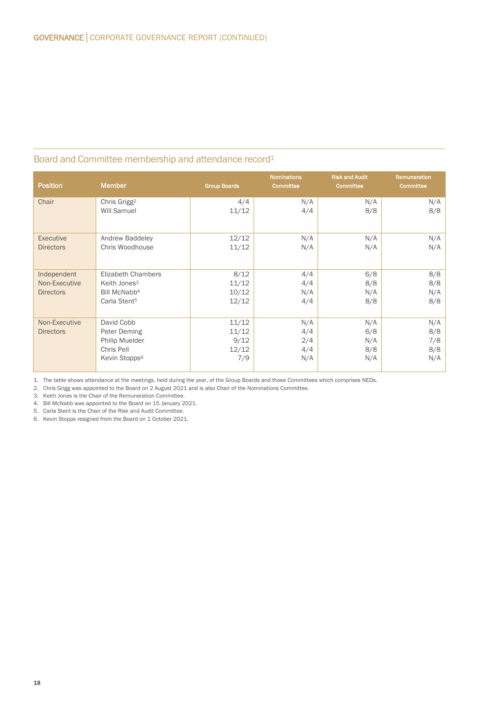# Board and Committee membership and attendance record1

| <b>Position</b>                                  | <b>Member</b>                                                                                                 | <b>Group Boards</b>                    | <b>Nominations</b><br>Committee | <b>Risk and Audit</b><br><b>Committee</b> | <b>Remuneration</b><br>Committee |
|--------------------------------------------------|---------------------------------------------------------------------------------------------------------------|----------------------------------------|---------------------------------|-------------------------------------------|----------------------------------|
| Chair                                            | Chris Grigg <sup>2</sup><br><b>Will Samuel</b>                                                                | 4/4<br>11/12                           | N/A<br>4/4                      | N/A<br>8/8                                | N/A<br>8/8                       |
| Executive<br><b>Directors</b>                    | Andrew Baddeley<br>Chris Woodhouse                                                                            | 12/12<br>11/12                         | N/A<br>N/A                      | N/A<br>N/A                                | N/A<br>N/A                       |
| Independent<br>Non-Executive<br><b>Directors</b> | <b>Elizabeth Chambers</b><br>Keith Jones <sup>3</sup><br>Bill McNabb <sup>4</sup><br>Carla Stent <sup>5</sup> | 8/12<br>11/12<br>10/12<br>12/12        | 4/4<br>4/4<br>N/A<br>4/4        | 6/8<br>8/8<br>N/A<br>8/8                  | 8/8<br>8/8<br>N/A<br>8/8         |
| Non-Executive<br><b>Directors</b>                | David Cobb<br>Peter Deming<br>Philip Muelder<br>Chris Pell<br>Kevin Stopps <sup>6</sup>                       | 11/12<br>11/12<br>9/12<br>12/12<br>7/9 | N/A<br>4/4<br>2/4<br>4/4<br>N/A | N/A<br>6/8<br>N/A<br>8/8<br>N/A           | N/A<br>8/8<br>7/8<br>8/8<br>N/A  |

1. The table shows attendance at the meetings, held during the year, of the Group Boards and those Committees which comprises NEDs.

2. Chris Grigg was appointed to the Board on 2 August 2021 and is also Chair of the Nominations Committee.

3. Keith Jones is the Chair of the Remuneration Committee.

4. Bill McNabb was appointed to the Board on 15 January 2021.

5. Carla Stent is the Chair of the Risk and Audit Committee.

6. Kevin Stopps resigned from the Board on 1 October 2021.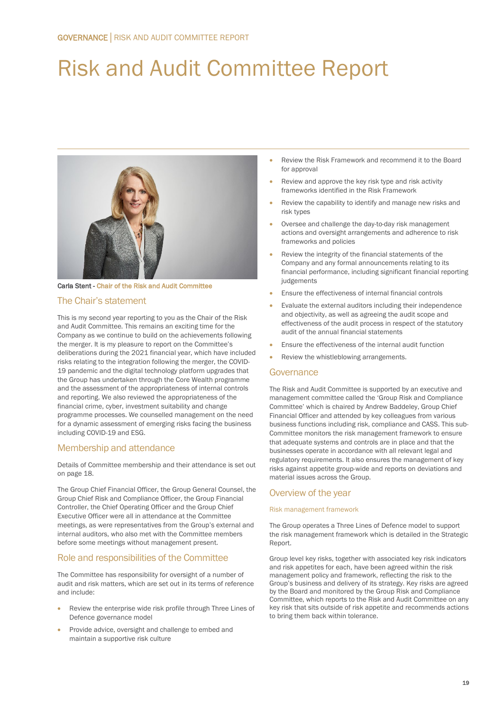# Risk and Audit Committee Report



Carla Stent - Chair of the Risk and Audit Committee

### The Chair's statement

This is my second year reporting to you as the Chair of the Risk and Audit Committee. This remains an exciting time for the Company as we continue to build on the achievements following the merger. It is my pleasure to report on the Committee's deliberations during the 2021 financial year, which have included risks relating to the integration following the merger, the COVID-19 pandemic and the digital technology platform upgrades that the Group has undertaken through the Core Wealth programme and the assessment of the appropriateness of internal controls and reporting. We also reviewed the appropriateness of the financial crime, cyber, investment suitability and change programme processes. We counselled management on the need for a dynamic assessment of emerging risks facing the business including COVID-19 and ESG.

# Membership and attendance

Details of Committee membership and their attendance is set out on page 18.

The Group Chief Financial Officer, the Group General Counsel, the Group Chief Risk and Compliance Officer, the Group Financial Controller, the Chief Operating Officer and the Group Chief Executive Officer were all in attendance at the Committee meetings, as were representatives from the Group's external and internal auditors, who also met with the Committee members before some meetings without management present.

# Role and responsibilities of the Committee

The Committee has responsibility for oversight of a number of audit and risk matters, which are set out in its terms of reference and include:

- Review the enterprise wide risk profile through Three Lines of Defence governance model
- Provide advice, oversight and challenge to embed and maintain a supportive risk culture
- Review the Risk Framework and recommend it to the Board for approval
- Review and approve the key risk type and risk activity frameworks identified in the Risk Framework
- Review the capability to identify and manage new risks and risk types
- Oversee and challenge the day-to-day risk management actions and oversight arrangements and adherence to risk frameworks and policies
- Review the integrity of the financial statements of the Company and any formal announcements relating to its financial performance, including significant financial reporting judgements
- Ensure the effectiveness of internal financial controls
- Evaluate the external auditors including their independence and objectivity, as well as agreeing the audit scope and effectiveness of the audit process in respect of the statutory audit of the annual financial statements
- Ensure the effectiveness of the internal audit function
- Review the whistleblowing arrangements.

#### **Governance**

The Risk and Audit Committee is supported by an executive and management committee called the 'Group Risk and Compliance Committee' which is chaired by Andrew Baddeley, Group Chief Financial Officer and attended by key colleagues from various business functions including risk, compliance and CASS. This sub-Committee monitors the risk management framework to ensure that adequate systems and controls are in place and that the businesses operate in accordance with all relevant legal and regulatory requirements. It also ensures the management of key risks against appetite group-wide and reports on deviations and material issues across the Group.

#### Overview of the year

#### Risk management framework

The Group operates a Three Lines of Defence model to support the risk management framework which is detailed in the Strategic Report.

Group level key risks, together with associated key risk indicators and risk appetites for each, have been agreed within the risk management policy and framework, reflecting the risk to the Group's business and delivery of its strategy. Key risks are agreed by the Board and monitored by the Group Risk and Compliance Committee, which reports to the Risk and Audit Committee on any key risk that sits outside of risk appetite and recommends actions to bring them back within tolerance.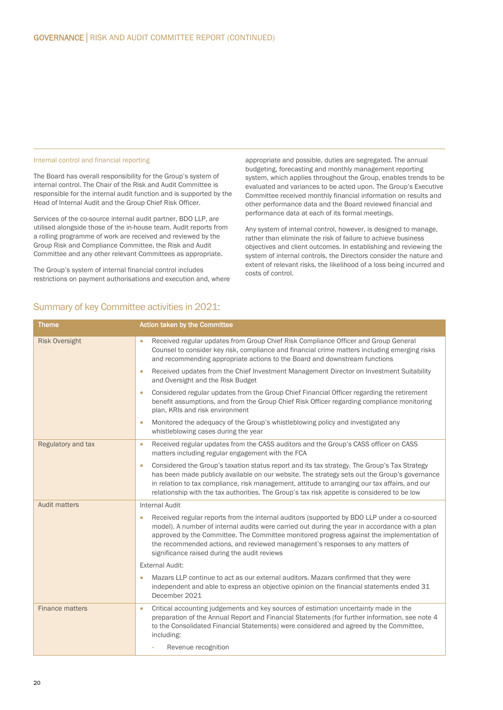#### Internal control and financial reporting

The Board has overall responsibility for the Group's system of internal control. The Chair of the Risk and Audit Committee is responsible for the internal audit function and is supported by the Head of Internal Audit and the Group Chief Risk Officer.

Services of the co-source internal audit partner, BDO LLP, are utilised alongside those of the in-house team. Audit reports from a rolling programme of work are received and reviewed by the Group Risk and Compliance Committee, the Risk and Audit Committee and any other relevant Committees as appropriate.

The Group's system of internal financial control includes restrictions on payment authorisations and execution and, where appropriate and possible, duties are segregated. The annual budgeting, forecasting and monthly management reporting system, which applies throughout the Group, enables trends to be evaluated and variances to be acted upon. The Group's Executive Committee received monthly financial information on results and other performance data and the Board reviewed financial and performance data at each of its formal meetings.

Any system of internal control, however, is designed to manage, rather than eliminate the risk of failure to achieve business objectives and client outcomes. In establishing and reviewing the system of internal controls, the Directors consider the nature and extent of relevant risks, the likelihood of a loss being incurred and costs of control.

| <b>Theme</b>           | Action taken by the Committee                                                                                                                                                                                                                                                                                                                                                                                                              |
|------------------------|--------------------------------------------------------------------------------------------------------------------------------------------------------------------------------------------------------------------------------------------------------------------------------------------------------------------------------------------------------------------------------------------------------------------------------------------|
| <b>Risk Oversight</b>  | Received regular updates from Group Chief Risk Compliance Officer and Group General<br>$\bullet$<br>Counsel to consider key risk, compliance and financial crime matters including emerging risks<br>and recommending appropriate actions to the Board and downstream functions                                                                                                                                                            |
|                        | Received updates from the Chief Investment Management Director on Investment Suitability<br>$\bullet$<br>and Oversight and the Risk Budget                                                                                                                                                                                                                                                                                                 |
|                        | Considered regular updates from the Group Chief Financial Officer regarding the retirement<br>$\bullet$<br>benefit assumptions, and from the Group Chief Risk Officer regarding compliance monitoring<br>plan, KRIs and risk environment                                                                                                                                                                                                   |
|                        | Monitored the adequacy of the Group's whistleblowing policy and investigated any<br>$\bullet$<br>whistleblowing cases during the year                                                                                                                                                                                                                                                                                                      |
| Regulatory and tax     | Received regular updates from the CASS auditors and the Group's CASS officer on CASS<br>$\bullet$<br>matters including regular engagement with the FCA                                                                                                                                                                                                                                                                                     |
|                        | Considered the Group's taxation status report and its tax strategy. The Group's Tax Strategy<br>$\bullet$<br>has been made publicly available on our website. The strategy sets out the Group's governance<br>in relation to tax compliance, risk management, attitude to arranging our tax affairs, and our<br>relationship with the tax authorities. The Group's tax risk appetite is considered to be low                               |
| <b>Audit matters</b>   | <b>Internal Audit</b>                                                                                                                                                                                                                                                                                                                                                                                                                      |
|                        | Received regular reports from the internal auditors (supported by BDO LLP under a co-sourced<br>$\bullet$<br>model). A number of internal audits were carried out during the year in accordance with a plan<br>approved by the Committee. The Committee monitored progress against the implementation of<br>the recommended actions, and reviewed management's responses to any matters of<br>significance raised during the audit reviews |
|                        | <b>External Audit:</b>                                                                                                                                                                                                                                                                                                                                                                                                                     |
|                        | Mazars LLP continue to act as our external auditors. Mazars confirmed that they were<br>$\bullet$<br>independent and able to express an objective opinion on the financial statements ended 31<br>December 2021                                                                                                                                                                                                                            |
| <b>Finance matters</b> | Critical accounting judgements and key sources of estimation uncertainty made in the<br>$\bullet$<br>preparation of the Annual Report and Financial Statements (for further information, see note 4<br>to the Consolidated Financial Statements) were considered and agreed by the Committee,<br>including:<br>Revenue recognition                                                                                                         |
|                        |                                                                                                                                                                                                                                                                                                                                                                                                                                            |

# Summary of key Committee activities in 2021: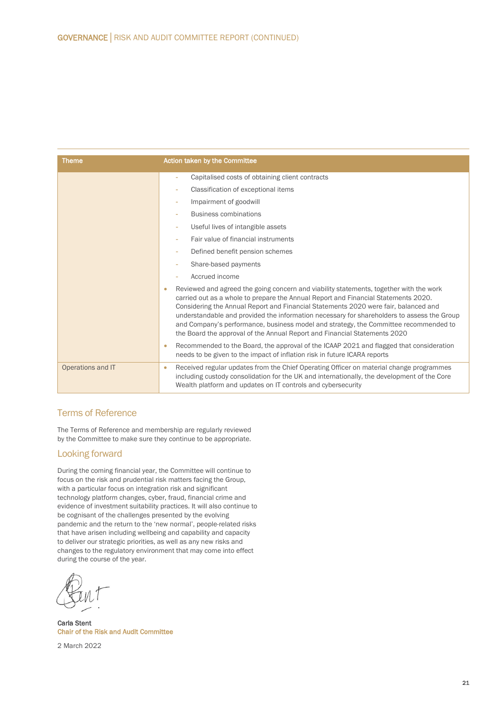| <b>Theme</b>      | Action taken by the Committee                                                                                                                                                                                                                                                                                                                                                                                                                                                                                                                       |  |
|-------------------|-----------------------------------------------------------------------------------------------------------------------------------------------------------------------------------------------------------------------------------------------------------------------------------------------------------------------------------------------------------------------------------------------------------------------------------------------------------------------------------------------------------------------------------------------------|--|
|                   | Capitalised costs of obtaining client contracts<br>٠                                                                                                                                                                                                                                                                                                                                                                                                                                                                                                |  |
|                   | Classification of exceptional items                                                                                                                                                                                                                                                                                                                                                                                                                                                                                                                 |  |
|                   | Impairment of goodwill<br>٠                                                                                                                                                                                                                                                                                                                                                                                                                                                                                                                         |  |
|                   | <b>Business combinations</b><br>٠                                                                                                                                                                                                                                                                                                                                                                                                                                                                                                                   |  |
|                   | Useful lives of intangible assets<br>٠                                                                                                                                                                                                                                                                                                                                                                                                                                                                                                              |  |
|                   | Fair value of financial instruments                                                                                                                                                                                                                                                                                                                                                                                                                                                                                                                 |  |
|                   | Defined benefit pension schemes                                                                                                                                                                                                                                                                                                                                                                                                                                                                                                                     |  |
|                   | Share-based payments                                                                                                                                                                                                                                                                                                                                                                                                                                                                                                                                |  |
|                   | Accrued income                                                                                                                                                                                                                                                                                                                                                                                                                                                                                                                                      |  |
|                   | Reviewed and agreed the going concern and viability statements, together with the work<br>$\bullet$<br>carried out as a whole to prepare the Annual Report and Financial Statements 2020.<br>Considering the Annual Report and Financial Statements 2020 were fair, balanced and<br>understandable and provided the information necessary for shareholders to assess the Group<br>and Company's performance, business model and strategy, the Committee recommended to<br>the Board the approval of the Annual Report and Financial Statements 2020 |  |
|                   | Recommended to the Board, the approval of the ICAAP 2021 and flagged that consideration<br>$\bullet$<br>needs to be given to the impact of inflation risk in future ICARA reports                                                                                                                                                                                                                                                                                                                                                                   |  |
| Operations and IT | Received regular updates from the Chief Operating Officer on material change programmes<br>$\bullet$<br>including custody consolidation for the UK and internationally, the development of the Core<br>Wealth platform and updates on IT controls and cybersecurity                                                                                                                                                                                                                                                                                 |  |

# Terms of Reference

The Terms of Reference and membership are regularly reviewed by the Committee to make sure they continue to be appropriate.

# Looking forward

During the coming financial year, the Committee will continue to focus on the risk and prudential risk matters facing the Group, with a particular focus on integration risk and significant technology platform changes, cyber, fraud, financial crime and evidence of investment suitability practices. It will also continue to be cognisant of the challenges presented by the evolving pandemic and the return to the 'new normal', people-related risks that have arisen including wellbeing and capability and capacity to deliver our strategic priorities, as well as any new risks and changes to the regulatory environment that may come into effect during the course of the year.

Carla Stent Chair of the Risk and Audit Committee

2 March 2022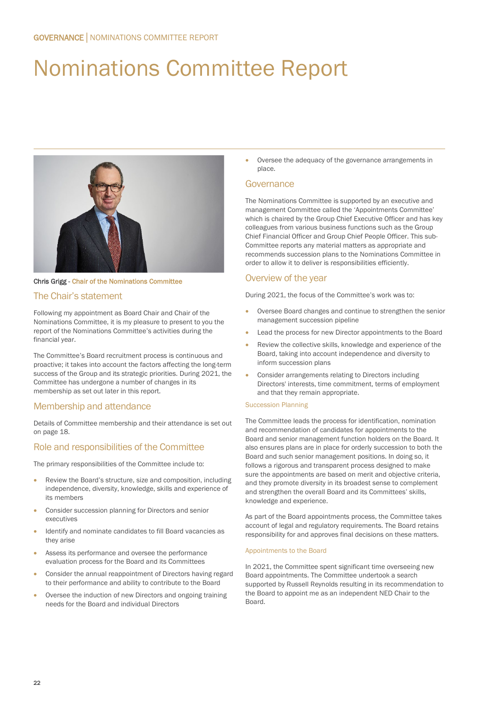# Nominations Committee Report



Chris Grigg - Chair of the Nominations Committee

# The Chair's statement

Following my appointment as Board Chair and Chair of the Nominations Committee, it is my pleasure to present to you the report of the Nominations Committee's activities during the financial year.

The Committee's Board recruitment process is continuous and proactive; it takes into account the factors affecting the long-term success of the Group and its strategic priorities. During 2021, the Committee has undergone a number of changes in its membership as set out later in this report.

# Membership and attendance

Details of Committee membership and their attendance is set out on page 18.

# Role and responsibilities of the Committee

The primary responsibilities of the Committee include to:

- Review the Board's structure, size and composition, including independence, diversity, knowledge, skills and experience of its members
- Consider succession planning for Directors and senior executives
- Identify and nominate candidates to fill Board vacancies as they arise
- Assess its performance and oversee the performance evaluation process for the Board and its Committees
- Consider the annual reappointment of Directors having regard to their performance and ability to contribute to the Board
- Oversee the induction of new Directors and ongoing training needs for the Board and individual Directors

• Oversee the adequacy of the governance arrangements in place.

### Governance

The Nominations Committee is supported by an executive and management Committee called the 'Appointments Committee' which is chaired by the Group Chief Executive Officer and has key colleagues from various business functions such as the Group Chief Financial Officer and Group Chief People Officer. This sub-Committee reports any material matters as appropriate and recommends succession plans to the Nominations Committee in order to allow it to deliver is responsibilities efficiently.

# Overview of the year

During 2021, the focus of the Committee's work was to:

- Oversee Board changes and continue to strengthen the senior management succession pipeline
- Lead the process for new Director appointments to the Board
- Review the collective skills, knowledge and experience of the Board, taking into account independence and diversity to inform succession plans
- Consider arrangements relating to Directors including Directors' interests, time commitment, terms of employment and that they remain appropriate.

#### Succession Planning

The Committee leads the process for identification, nomination and recommendation of candidates for appointments to the Board and senior management function holders on the Board. It also ensures plans are in place for orderly succession to both the Board and such senior management positions. In doing so, it follows a rigorous and transparent process designed to make sure the appointments are based on merit and objective criteria, and they promote diversity in its broadest sense to complement and strengthen the overall Board and its Committees' skills, knowledge and experience.

As part of the Board appointments process, the Committee takes account of legal and regulatory requirements. The Board retains responsibility for and approves final decisions on these matters.

#### Appointments to the Board

In 2021, the Committee spent significant time overseeing new Board appointments. The Committee undertook a search supported by Russell Reynolds resulting in its recommendation to the Board to appoint me as an independent NED Chair to the Board.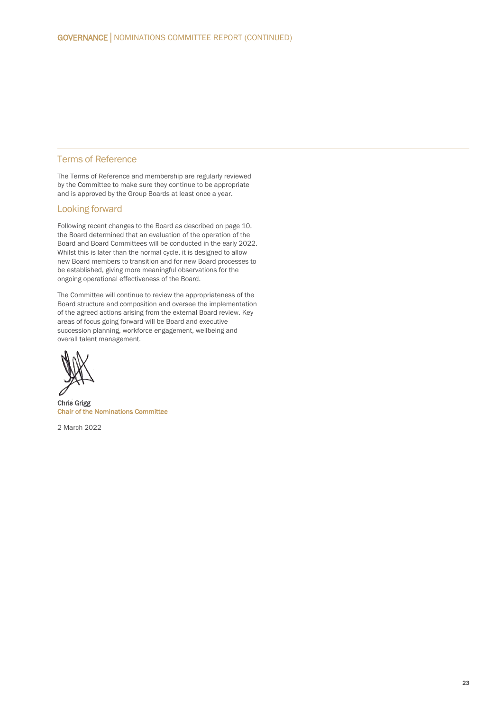### Terms of Reference

The Terms of Reference and membership are regularly reviewed by the Committee to make sure they continue to be appropriate and is approved by the Group Boards at least once a year.

### Looking forward

Following recent changes to the Board as described on page 10, the Board determined that an evaluation of the operation of the Board and Board Committees will be conducted in the early 2022. Whilst this is later than the normal cycle, it is designed to allow new Board members to transition and for new Board processes to be established, giving more meaningful observations for the ongoing operational effectiveness of the Board.

The Committee will continue to review the appropriateness of the Board structure and composition and oversee the implementation of the agreed actions arising from the external Board review. Key areas of focus going forward will be Board and executive succession planning, workforce engagement, wellbeing and overall talent management.

Chris Grigg Chair of the Nominations Committee

2 March 2022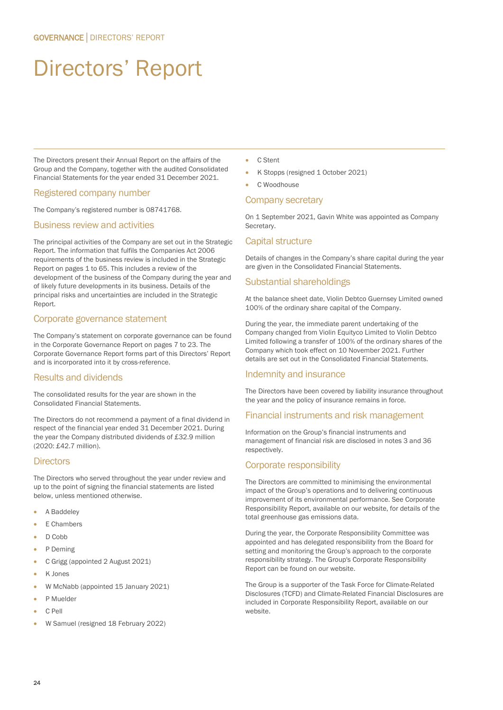# Directors' Report

The Directors present their Annual Report on the affairs of the Group and the Company, together with the audited Consolidated Financial Statements for the year ended 31 December 2021.

# Registered company number

The Company's registered number is 08741768.

### Business review and activities

The principal activities of the Company are set out in the Strategic Report. The information that fulfils the Companies Act 2006 requirements of the business review is included in the Strategic Report on pages 1 to 65. This includes a review of the development of the business of the Company during the year and of likely future developments in its business. Details of the principal risks and uncertainties are included in the Strategic Report.

### Corporate governance statement

The Company's statement on corporate governance can be found in the Corporate Governance Report on pages 7 to 23. The Corporate Governance Report forms part of this Directors' Report and is incorporated into it by cross-reference.

# Results and dividends

The consolidated results for the year are shown in the Consolidated Financial Statements.

The Directors do not recommend a payment of a final dividend in respect of the financial year ended 31 December 2021. During the year the Company distributed dividends of £32.9 million (2020: £42.7 million).

# **Directors**

The Directors who served throughout the year under review and up to the point of signing the financial statements are listed below, unless mentioned otherwise.

- A Baddeley
- E Chambers
- D Cobb
- P Deming
- C Grigg (appointed 2 August 2021)
- K Jones
- W McNabb (appointed 15 January 2021)
- P Muelder
- C Pell
- W Samuel (resigned 18 February 2022)
- C Stent
- K Stopps (resigned 1 October 2021)
- C Woodhouse

#### Company secretary

On 1 September 2021, Gavin White was appointed as Company Secretary.

### Capital structure

Details of changes in the Company's share capital during the year are given in the Consolidated Financial Statements.

### Substantial shareholdings

At the balance sheet date, Violin Debtco Guernsey Limited owned 100% of the ordinary share capital of the Company.

During the year, the immediate parent undertaking of the Company changed from Violin Equityco Limited to Violin Debtco Limited following a transfer of 100% of the ordinary shares of the Company which took effect on 10 November 2021. Further details are set out in the Consolidated Financial Statements.

#### Indemnity and insurance

The Directors have been covered by liability insurance throughout the year and the policy of insurance remains in force.

#### Financial instruments and risk management

Information on the Group's financial instruments and management of financial risk are disclosed in notes 3 and 36 respectively.

#### Corporate responsibility

The Directors are committed to minimising the environmental impact of the Group's operations and to delivering continuous improvement of its environmental performance. See Corporate Responsibility Report, available on our website, for details of the total greenhouse gas emissions data.

During the year, the Corporate Responsibility Committee was appointed and has delegated responsibility from the Board for setting and monitoring the Group's approach to the corporate responsibility strategy. The Group's Corporate Responsibility Report can be found on our website.

The Group is a supporter of the Task Force for Climate-Related Disclosures (TCFD) and Climate-Related Financial Disclosures are included in Corporate Responsibility Report, available on our website.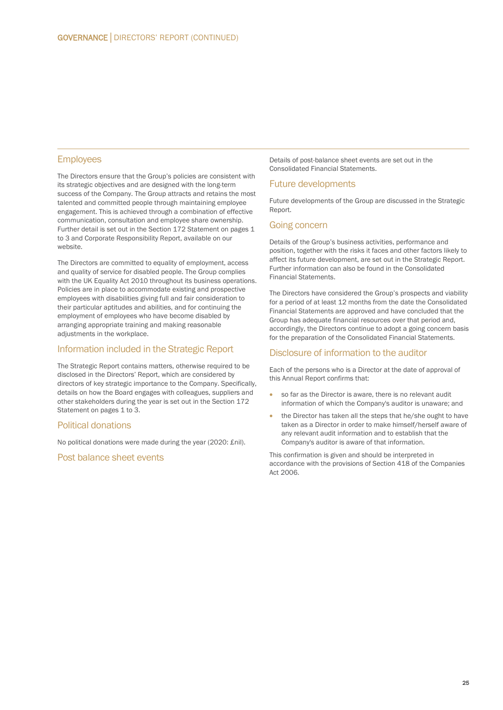### **Employees**

The Directors ensure that the Group's policies are consistent with its strategic objectives and are designed with the long-term success of the Company. The Group attracts and retains the most talented and committed people through maintaining employee engagement. This is achieved through a combination of effective communication, consultation and employee share ownership. Further detail is set out in the Section 172 Statement on pages 1 to 3 and Corporate Responsibility Report, available on our website.

The Directors are committed to equality of employment, access and quality of service for disabled people. The Group complies with the UK Equality Act 2010 throughout its business operations. Policies are in place to accommodate existing and prospective employees with disabilities giving full and fair consideration to their particular aptitudes and abilities, and for continuing the employment of employees who have become disabled by arranging appropriate training and making reasonable adjustments in the workplace.

### Information included in the Strategic Report

The Strategic Report contains matters, otherwise required to be disclosed in the Directors' Report, which are considered by directors of key strategic importance to the Company. Specifically, details on how the Board engages with colleagues, suppliers and other stakeholders during the year is set out in the Section 172 Statement on pages 1 to 3.

### Political donations

No political donations were made during the year (2020: £nil).

#### Post balance sheet events

Details of post-balance sheet events are set out in the Consolidated Financial Statements.

#### Future developments

Future developments of the Group are discussed in the Strategic Report.

#### Going concern

Details of the Group's business activities, performance and position, together with the risks it faces and other factors likely to affect its future development, are set out in the Strategic Report. Further information can also be found in the Consolidated Financial Statements.

The Directors have considered the Group's prospects and viability for a period of at least 12 months from the date the Consolidated Financial Statements are approved and have concluded that the Group has adequate financial resources over that period and, accordingly, the Directors continue to adopt a going concern basis for the preparation of the Consolidated Financial Statements.

#### Disclosure of information to the auditor

Each of the persons who is a Director at the date of approval of this Annual Report confirms that:

- so far as the Director is aware, there is no relevant audit information of which the Company's auditor is unaware; and
- the Director has taken all the steps that he/she ought to have taken as a Director in order to make himself/herself aware of any relevant audit information and to establish that the Company's auditor is aware of that information.

This confirmation is given and should be interpreted in accordance with the provisions of Section 418 of the Companies Act 2006.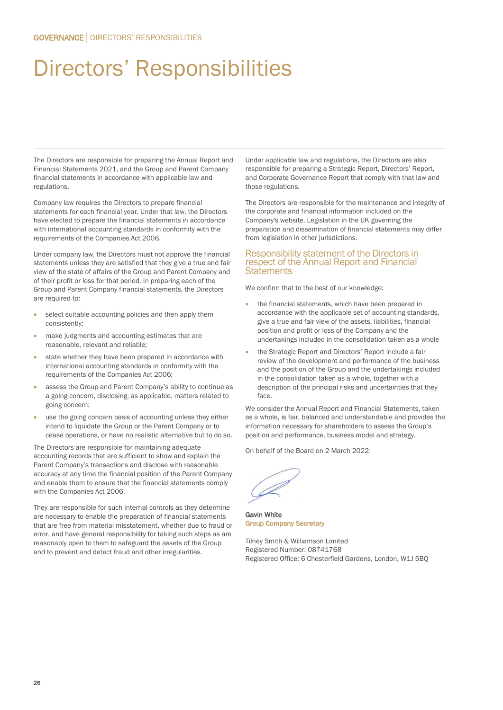# Directors' Responsibilities

The Directors are responsible for preparing the Annual Report and Financial Statements 2021, and the Group and Parent Company financial statements in accordance with applicable law and regulations.

Company law requires the Directors to prepare financial statements for each financial year. Under that law, the Directors have elected to prepare the financial statements in accordance with international accounting standards in conformity with the requirements of the Companies Act 2006.

Under company law, the Directors must not approve the financial statements unless they are satisfied that they give a true and fair view of the state of affairs of the Group and Parent Company and of their profit or loss for that period. In preparing each of the Group and Parent Company financial statements, the Directors are required to:

- select suitable accounting policies and then apply them consistently;
- make judgments and accounting estimates that are reasonable, relevant and reliable;
- state whether they have been prepared in accordance with international accounting standards in conformity with the requirements of the Companies Act 2006;
- assess the Group and Parent Company's ability to continue as a going concern, disclosing, as applicable, matters related to going concern;
- use the going concern basis of accounting unless they either intend to liquidate the Group or the Parent Company or to cease operations, or have no realistic alternative but to do so.

The Directors are responsible for maintaining adequate accounting records that are sufficient to show and explain the Parent Company's transactions and disclose with reasonable accuracy at any time the financial position of the Parent Company and enable them to ensure that the financial statements comply with the Companies Act 2006.

They are responsible for such internal controls as they determine are necessary to enable the preparation of financial statements that are free from material misstatement, whether due to fraud or error, and have general responsibility for taking such steps as are reasonably open to them to safeguard the assets of the Group and to prevent and detect fraud and other irregularities.

Under applicable law and regulations, the Directors are also responsible for preparing a Strategic Report, Directors' Report, and Corporate Governance Report that comply with that law and those regulations.

The Directors are responsible for the maintenance and integrity of the corporate and financial information included on the Company's website. Legislation in the UK governing the preparation and dissemination of financial statements may differ from legislation in other jurisdictions.

#### Responsibility statement of the Directors in respect of the Annual Report and Financial **Statements**

We confirm that to the best of our knowledge:

- the financial statements, which have been prepared in accordance with the applicable set of accounting standards, give a true and fair view of the assets, liabilities, financial position and profit or loss of the Company and the undertakings included in the consolidation taken as a whole
- the Strategic Report and Directors' Report include a fair review of the development and performance of the business and the position of the Group and the undertakings included in the consolidation taken as a whole, together with a description of the principal risks and uncertainties that they face.

We consider the Annual Report and Financial Statements, taken as a whole, is fair, balanced and understandable and provides the information necessary for shareholders to assess the Group's position and performance, business model and strategy.

On behalf of the Board on 2 March 2022:

Gavin White Group Company Secretary

Tilney Smith & Williamson Limited Registered Number: 08741768 Registered Office: 6 Chesterfield Gardens, London, W1J 5BQ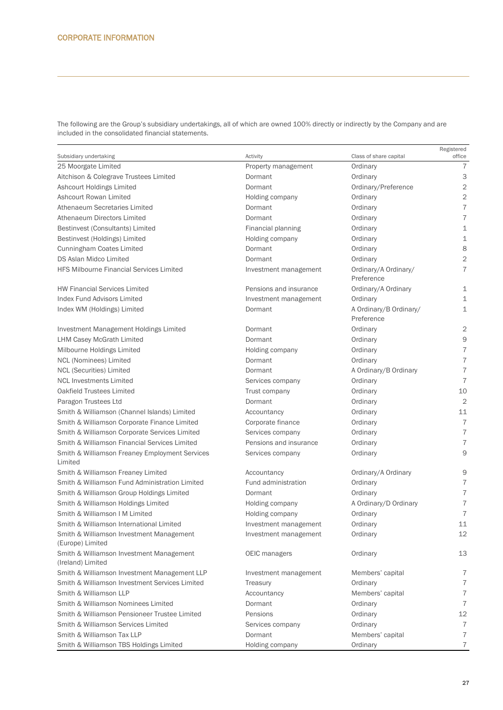The following are the Group's subsidiary undertakings, all of which are owned 100% directly or indirectly by the Company and are included in the consolidated financial statements.

| 25 Moorgate Limited<br>Ordinary<br>7<br>Property management<br>3<br>Aitchison & Colegrave Trustees Limited<br>Dormant<br>Ordinary<br>$\sqrt{2}$<br>Ashcourt Holdings Limited<br>Dormant<br>Ordinary/Preference<br>$\mathbf{2}$<br>Ashcourt Rowan Limited<br>Ordinary<br>Holding company<br>$\overline{7}$<br>Athenaeum Secretaries Limited<br>Dormant<br>Ordinary<br>$\overline{7}$<br>Athenaeum Directors Limited<br>Dormant<br>Ordinary<br>$\perp$<br>Bestinvest (Consultants) Limited<br>Financial planning<br>Ordinary<br>$\mathbf 1$<br>Bestinvest (Holdings) Limited<br>Holding company<br>Ordinary<br>8<br>Cunningham Coates Limited<br>Dormant<br>Ordinary<br>$\mathbf 2$<br>DS Aslan Midco Limited<br>Dormant<br>Ordinary<br>$\overline{7}$<br><b>HFS Milbourne Financial Services Limited</b><br>Ordinary/A Ordinary/<br>Investment management<br>Preference<br>Pensions and insurance<br><b>HW Financial Services Limited</b><br>Ordinary/A Ordinary<br>$\mathbf 1$<br>Index Fund Advisors Limited<br>$\mathbf 1$<br>Investment management<br>Ordinary<br>$\mathbf{1}$<br>Index WM (Holdings) Limited<br>A Ordinary/B Ordinary/<br>Dormant<br>Preference<br>$\overline{c}$<br>Investment Management Holdings Limited<br>Dormant<br>Ordinary<br>$\Theta$<br><b>LHM Casey McGrath Limited</b><br>Ordinary<br>Dormant<br>$\overline{7}$<br>Milbourne Holdings Limited<br>Holding company<br>Ordinary<br>$\overline{\mathcal{I}}$<br>NCL (Nominees) Limited<br>Dormant<br>Ordinary<br>$\overline{\mathcal{I}}$<br><b>NCL (Securities) Limited</b><br>A Ordinary/B Ordinary<br>Dormant<br>$\overline{7}$<br><b>NCL Investments Limited</b><br>Services company<br>Ordinary<br>Oakfield Trustees Limited<br>10<br>Trust company<br>Ordinary<br>$\overline{2}$<br>Paragon Trustees Ltd<br>Dormant<br>Ordinary<br>11<br>Smith & Williamson (Channel Islands) Limited<br>Accountancy<br>Ordinary<br>$\overline{7}$<br>Smith & Williamson Corporate Finance Limited<br>Corporate finance<br>Ordinary<br>$\boldsymbol{7}$<br>Smith & Williamson Corporate Services Limited<br>Services company<br>Ordinary<br>$\boldsymbol{7}$<br>Smith & Williamson Financial Services Limited<br>Pensions and insurance<br>Ordinary<br>9<br>Smith & Williamson Freaney Employment Services<br>Services company<br>Ordinary<br>Limited<br>9<br>Smith & Williamson Freaney Limited<br>Ordinary/A Ordinary<br>Accountancy<br>$\boldsymbol{7}$<br>Smith & Williamson Fund Administration Limited<br>Fund administration<br>Ordinary<br>$\boldsymbol{7}$<br>Smith & Williamson Group Holdings Limited<br>Dormant<br>Ordinary<br>$\boldsymbol{7}$<br>Smith & Williamson Holdings Limited<br>A Ordinary/D Ordinary<br>Holding company<br>$\overline{7}$<br>Smith & Williamson I M Limited<br>Holding company<br>Ordinary<br>11<br>Smith & Williamson International Limited<br>Ordinary<br>Investment management<br>Smith & Williamson Investment Management<br>12<br>Ordinary<br>Investment management<br>(Europe) Limited<br>Smith & Williamson Investment Management<br>13<br>OEIC managers<br>Ordinary<br>(Ireland) Limited<br>Smith & Williamson Investment Management LLP<br>$\overline{7}$<br>Members' capital<br>Investment management<br>$\boldsymbol{7}$<br>Smith & Williamson Investment Services Limited<br>Treasury<br>Ordinary<br>$\boldsymbol{7}$<br>Smith & Williamson LLP<br>Members' capital<br>Accountancy<br>$\boldsymbol{7}$<br>Smith & Williamson Nominees Limited<br>Dormant<br>Ordinary<br>12<br>Smith & Williamson Pensioneer Trustee Limited<br>Pensions<br>Ordinary<br>Smith & Williamson Services Limited<br>$\overline{7}$<br>Services company<br>Ordinary<br>$\overline{7}$<br>Smith & Williamson Tax LLP<br>Dormant<br>Members' capital<br>$\overline{7}$<br>Smith & Williamson TBS Holdings Limited<br>Holding company<br>Ordinary |                        |          | Class of share capital | Registered<br>office |
|----------------------------------------------------------------------------------------------------------------------------------------------------------------------------------------------------------------------------------------------------------------------------------------------------------------------------------------------------------------------------------------------------------------------------------------------------------------------------------------------------------------------------------------------------------------------------------------------------------------------------------------------------------------------------------------------------------------------------------------------------------------------------------------------------------------------------------------------------------------------------------------------------------------------------------------------------------------------------------------------------------------------------------------------------------------------------------------------------------------------------------------------------------------------------------------------------------------------------------------------------------------------------------------------------------------------------------------------------------------------------------------------------------------------------------------------------------------------------------------------------------------------------------------------------------------------------------------------------------------------------------------------------------------------------------------------------------------------------------------------------------------------------------------------------------------------------------------------------------------------------------------------------------------------------------------------------------------------------------------------------------------------------------------------------------------------------------------------------------------------------------------------------------------------------------------------------------------------------------------------------------------------------------------------------------------------------------------------------------------------------------------------------------------------------------------------------------------------------------------------------------------------------------------------------------------------------------------------------------------------------------------------------------------------------------------------------------------------------------------------------------------------------------------------------------------------------------------------------------------------------------------------------------------------------------------------------------------------------------------------------------------------------------------------------------------------------------------------------------------------------------------------------------------------------------------------------------------------------------------------------------------------------------------------------------------------------------------------------------------------------------------------------------------------------------------------------------------------------------------------------------------------------------------------------------------------------------------------------------------------------------------------------------------------------------------------------------------------------------------------------------------------------------------------------------------------------------------------|------------------------|----------|------------------------|----------------------|
|                                                                                                                                                                                                                                                                                                                                                                                                                                                                                                                                                                                                                                                                                                                                                                                                                                                                                                                                                                                                                                                                                                                                                                                                                                                                                                                                                                                                                                                                                                                                                                                                                                                                                                                                                                                                                                                                                                                                                                                                                                                                                                                                                                                                                                                                                                                                                                                                                                                                                                                                                                                                                                                                                                                                                                                                                                                                                                                                                                                                                                                                                                                                                                                                                                                                                                                                                                                                                                                                                                                                                                                                                                                                                                                                                                                                                                              | Subsidiary undertaking | Activity |                        |                      |
|                                                                                                                                                                                                                                                                                                                                                                                                                                                                                                                                                                                                                                                                                                                                                                                                                                                                                                                                                                                                                                                                                                                                                                                                                                                                                                                                                                                                                                                                                                                                                                                                                                                                                                                                                                                                                                                                                                                                                                                                                                                                                                                                                                                                                                                                                                                                                                                                                                                                                                                                                                                                                                                                                                                                                                                                                                                                                                                                                                                                                                                                                                                                                                                                                                                                                                                                                                                                                                                                                                                                                                                                                                                                                                                                                                                                                                              |                        |          |                        |                      |
|                                                                                                                                                                                                                                                                                                                                                                                                                                                                                                                                                                                                                                                                                                                                                                                                                                                                                                                                                                                                                                                                                                                                                                                                                                                                                                                                                                                                                                                                                                                                                                                                                                                                                                                                                                                                                                                                                                                                                                                                                                                                                                                                                                                                                                                                                                                                                                                                                                                                                                                                                                                                                                                                                                                                                                                                                                                                                                                                                                                                                                                                                                                                                                                                                                                                                                                                                                                                                                                                                                                                                                                                                                                                                                                                                                                                                                              |                        |          |                        |                      |
|                                                                                                                                                                                                                                                                                                                                                                                                                                                                                                                                                                                                                                                                                                                                                                                                                                                                                                                                                                                                                                                                                                                                                                                                                                                                                                                                                                                                                                                                                                                                                                                                                                                                                                                                                                                                                                                                                                                                                                                                                                                                                                                                                                                                                                                                                                                                                                                                                                                                                                                                                                                                                                                                                                                                                                                                                                                                                                                                                                                                                                                                                                                                                                                                                                                                                                                                                                                                                                                                                                                                                                                                                                                                                                                                                                                                                                              |                        |          |                        |                      |
|                                                                                                                                                                                                                                                                                                                                                                                                                                                                                                                                                                                                                                                                                                                                                                                                                                                                                                                                                                                                                                                                                                                                                                                                                                                                                                                                                                                                                                                                                                                                                                                                                                                                                                                                                                                                                                                                                                                                                                                                                                                                                                                                                                                                                                                                                                                                                                                                                                                                                                                                                                                                                                                                                                                                                                                                                                                                                                                                                                                                                                                                                                                                                                                                                                                                                                                                                                                                                                                                                                                                                                                                                                                                                                                                                                                                                                              |                        |          |                        |                      |
|                                                                                                                                                                                                                                                                                                                                                                                                                                                                                                                                                                                                                                                                                                                                                                                                                                                                                                                                                                                                                                                                                                                                                                                                                                                                                                                                                                                                                                                                                                                                                                                                                                                                                                                                                                                                                                                                                                                                                                                                                                                                                                                                                                                                                                                                                                                                                                                                                                                                                                                                                                                                                                                                                                                                                                                                                                                                                                                                                                                                                                                                                                                                                                                                                                                                                                                                                                                                                                                                                                                                                                                                                                                                                                                                                                                                                                              |                        |          |                        |                      |
|                                                                                                                                                                                                                                                                                                                                                                                                                                                                                                                                                                                                                                                                                                                                                                                                                                                                                                                                                                                                                                                                                                                                                                                                                                                                                                                                                                                                                                                                                                                                                                                                                                                                                                                                                                                                                                                                                                                                                                                                                                                                                                                                                                                                                                                                                                                                                                                                                                                                                                                                                                                                                                                                                                                                                                                                                                                                                                                                                                                                                                                                                                                                                                                                                                                                                                                                                                                                                                                                                                                                                                                                                                                                                                                                                                                                                                              |                        |          |                        |                      |
|                                                                                                                                                                                                                                                                                                                                                                                                                                                                                                                                                                                                                                                                                                                                                                                                                                                                                                                                                                                                                                                                                                                                                                                                                                                                                                                                                                                                                                                                                                                                                                                                                                                                                                                                                                                                                                                                                                                                                                                                                                                                                                                                                                                                                                                                                                                                                                                                                                                                                                                                                                                                                                                                                                                                                                                                                                                                                                                                                                                                                                                                                                                                                                                                                                                                                                                                                                                                                                                                                                                                                                                                                                                                                                                                                                                                                                              |                        |          |                        |                      |
|                                                                                                                                                                                                                                                                                                                                                                                                                                                                                                                                                                                                                                                                                                                                                                                                                                                                                                                                                                                                                                                                                                                                                                                                                                                                                                                                                                                                                                                                                                                                                                                                                                                                                                                                                                                                                                                                                                                                                                                                                                                                                                                                                                                                                                                                                                                                                                                                                                                                                                                                                                                                                                                                                                                                                                                                                                                                                                                                                                                                                                                                                                                                                                                                                                                                                                                                                                                                                                                                                                                                                                                                                                                                                                                                                                                                                                              |                        |          |                        |                      |
|                                                                                                                                                                                                                                                                                                                                                                                                                                                                                                                                                                                                                                                                                                                                                                                                                                                                                                                                                                                                                                                                                                                                                                                                                                                                                                                                                                                                                                                                                                                                                                                                                                                                                                                                                                                                                                                                                                                                                                                                                                                                                                                                                                                                                                                                                                                                                                                                                                                                                                                                                                                                                                                                                                                                                                                                                                                                                                                                                                                                                                                                                                                                                                                                                                                                                                                                                                                                                                                                                                                                                                                                                                                                                                                                                                                                                                              |                        |          |                        |                      |
|                                                                                                                                                                                                                                                                                                                                                                                                                                                                                                                                                                                                                                                                                                                                                                                                                                                                                                                                                                                                                                                                                                                                                                                                                                                                                                                                                                                                                                                                                                                                                                                                                                                                                                                                                                                                                                                                                                                                                                                                                                                                                                                                                                                                                                                                                                                                                                                                                                                                                                                                                                                                                                                                                                                                                                                                                                                                                                                                                                                                                                                                                                                                                                                                                                                                                                                                                                                                                                                                                                                                                                                                                                                                                                                                                                                                                                              |                        |          |                        |                      |
|                                                                                                                                                                                                                                                                                                                                                                                                                                                                                                                                                                                                                                                                                                                                                                                                                                                                                                                                                                                                                                                                                                                                                                                                                                                                                                                                                                                                                                                                                                                                                                                                                                                                                                                                                                                                                                                                                                                                                                                                                                                                                                                                                                                                                                                                                                                                                                                                                                                                                                                                                                                                                                                                                                                                                                                                                                                                                                                                                                                                                                                                                                                                                                                                                                                                                                                                                                                                                                                                                                                                                                                                                                                                                                                                                                                                                                              |                        |          |                        |                      |
|                                                                                                                                                                                                                                                                                                                                                                                                                                                                                                                                                                                                                                                                                                                                                                                                                                                                                                                                                                                                                                                                                                                                                                                                                                                                                                                                                                                                                                                                                                                                                                                                                                                                                                                                                                                                                                                                                                                                                                                                                                                                                                                                                                                                                                                                                                                                                                                                                                                                                                                                                                                                                                                                                                                                                                                                                                                                                                                                                                                                                                                                                                                                                                                                                                                                                                                                                                                                                                                                                                                                                                                                                                                                                                                                                                                                                                              |                        |          |                        |                      |
|                                                                                                                                                                                                                                                                                                                                                                                                                                                                                                                                                                                                                                                                                                                                                                                                                                                                                                                                                                                                                                                                                                                                                                                                                                                                                                                                                                                                                                                                                                                                                                                                                                                                                                                                                                                                                                                                                                                                                                                                                                                                                                                                                                                                                                                                                                                                                                                                                                                                                                                                                                                                                                                                                                                                                                                                                                                                                                                                                                                                                                                                                                                                                                                                                                                                                                                                                                                                                                                                                                                                                                                                                                                                                                                                                                                                                                              |                        |          |                        |                      |
|                                                                                                                                                                                                                                                                                                                                                                                                                                                                                                                                                                                                                                                                                                                                                                                                                                                                                                                                                                                                                                                                                                                                                                                                                                                                                                                                                                                                                                                                                                                                                                                                                                                                                                                                                                                                                                                                                                                                                                                                                                                                                                                                                                                                                                                                                                                                                                                                                                                                                                                                                                                                                                                                                                                                                                                                                                                                                                                                                                                                                                                                                                                                                                                                                                                                                                                                                                                                                                                                                                                                                                                                                                                                                                                                                                                                                                              |                        |          |                        |                      |
|                                                                                                                                                                                                                                                                                                                                                                                                                                                                                                                                                                                                                                                                                                                                                                                                                                                                                                                                                                                                                                                                                                                                                                                                                                                                                                                                                                                                                                                                                                                                                                                                                                                                                                                                                                                                                                                                                                                                                                                                                                                                                                                                                                                                                                                                                                                                                                                                                                                                                                                                                                                                                                                                                                                                                                                                                                                                                                                                                                                                                                                                                                                                                                                                                                                                                                                                                                                                                                                                                                                                                                                                                                                                                                                                                                                                                                              |                        |          |                        |                      |
|                                                                                                                                                                                                                                                                                                                                                                                                                                                                                                                                                                                                                                                                                                                                                                                                                                                                                                                                                                                                                                                                                                                                                                                                                                                                                                                                                                                                                                                                                                                                                                                                                                                                                                                                                                                                                                                                                                                                                                                                                                                                                                                                                                                                                                                                                                                                                                                                                                                                                                                                                                                                                                                                                                                                                                                                                                                                                                                                                                                                                                                                                                                                                                                                                                                                                                                                                                                                                                                                                                                                                                                                                                                                                                                                                                                                                                              |                        |          |                        |                      |
|                                                                                                                                                                                                                                                                                                                                                                                                                                                                                                                                                                                                                                                                                                                                                                                                                                                                                                                                                                                                                                                                                                                                                                                                                                                                                                                                                                                                                                                                                                                                                                                                                                                                                                                                                                                                                                                                                                                                                                                                                                                                                                                                                                                                                                                                                                                                                                                                                                                                                                                                                                                                                                                                                                                                                                                                                                                                                                                                                                                                                                                                                                                                                                                                                                                                                                                                                                                                                                                                                                                                                                                                                                                                                                                                                                                                                                              |                        |          |                        |                      |
|                                                                                                                                                                                                                                                                                                                                                                                                                                                                                                                                                                                                                                                                                                                                                                                                                                                                                                                                                                                                                                                                                                                                                                                                                                                                                                                                                                                                                                                                                                                                                                                                                                                                                                                                                                                                                                                                                                                                                                                                                                                                                                                                                                                                                                                                                                                                                                                                                                                                                                                                                                                                                                                                                                                                                                                                                                                                                                                                                                                                                                                                                                                                                                                                                                                                                                                                                                                                                                                                                                                                                                                                                                                                                                                                                                                                                                              |                        |          |                        |                      |
|                                                                                                                                                                                                                                                                                                                                                                                                                                                                                                                                                                                                                                                                                                                                                                                                                                                                                                                                                                                                                                                                                                                                                                                                                                                                                                                                                                                                                                                                                                                                                                                                                                                                                                                                                                                                                                                                                                                                                                                                                                                                                                                                                                                                                                                                                                                                                                                                                                                                                                                                                                                                                                                                                                                                                                                                                                                                                                                                                                                                                                                                                                                                                                                                                                                                                                                                                                                                                                                                                                                                                                                                                                                                                                                                                                                                                                              |                        |          |                        |                      |
|                                                                                                                                                                                                                                                                                                                                                                                                                                                                                                                                                                                                                                                                                                                                                                                                                                                                                                                                                                                                                                                                                                                                                                                                                                                                                                                                                                                                                                                                                                                                                                                                                                                                                                                                                                                                                                                                                                                                                                                                                                                                                                                                                                                                                                                                                                                                                                                                                                                                                                                                                                                                                                                                                                                                                                                                                                                                                                                                                                                                                                                                                                                                                                                                                                                                                                                                                                                                                                                                                                                                                                                                                                                                                                                                                                                                                                              |                        |          |                        |                      |
|                                                                                                                                                                                                                                                                                                                                                                                                                                                                                                                                                                                                                                                                                                                                                                                                                                                                                                                                                                                                                                                                                                                                                                                                                                                                                                                                                                                                                                                                                                                                                                                                                                                                                                                                                                                                                                                                                                                                                                                                                                                                                                                                                                                                                                                                                                                                                                                                                                                                                                                                                                                                                                                                                                                                                                                                                                                                                                                                                                                                                                                                                                                                                                                                                                                                                                                                                                                                                                                                                                                                                                                                                                                                                                                                                                                                                                              |                        |          |                        |                      |
|                                                                                                                                                                                                                                                                                                                                                                                                                                                                                                                                                                                                                                                                                                                                                                                                                                                                                                                                                                                                                                                                                                                                                                                                                                                                                                                                                                                                                                                                                                                                                                                                                                                                                                                                                                                                                                                                                                                                                                                                                                                                                                                                                                                                                                                                                                                                                                                                                                                                                                                                                                                                                                                                                                                                                                                                                                                                                                                                                                                                                                                                                                                                                                                                                                                                                                                                                                                                                                                                                                                                                                                                                                                                                                                                                                                                                                              |                        |          |                        |                      |
|                                                                                                                                                                                                                                                                                                                                                                                                                                                                                                                                                                                                                                                                                                                                                                                                                                                                                                                                                                                                                                                                                                                                                                                                                                                                                                                                                                                                                                                                                                                                                                                                                                                                                                                                                                                                                                                                                                                                                                                                                                                                                                                                                                                                                                                                                                                                                                                                                                                                                                                                                                                                                                                                                                                                                                                                                                                                                                                                                                                                                                                                                                                                                                                                                                                                                                                                                                                                                                                                                                                                                                                                                                                                                                                                                                                                                                              |                        |          |                        |                      |
|                                                                                                                                                                                                                                                                                                                                                                                                                                                                                                                                                                                                                                                                                                                                                                                                                                                                                                                                                                                                                                                                                                                                                                                                                                                                                                                                                                                                                                                                                                                                                                                                                                                                                                                                                                                                                                                                                                                                                                                                                                                                                                                                                                                                                                                                                                                                                                                                                                                                                                                                                                                                                                                                                                                                                                                                                                                                                                                                                                                                                                                                                                                                                                                                                                                                                                                                                                                                                                                                                                                                                                                                                                                                                                                                                                                                                                              |                        |          |                        |                      |
|                                                                                                                                                                                                                                                                                                                                                                                                                                                                                                                                                                                                                                                                                                                                                                                                                                                                                                                                                                                                                                                                                                                                                                                                                                                                                                                                                                                                                                                                                                                                                                                                                                                                                                                                                                                                                                                                                                                                                                                                                                                                                                                                                                                                                                                                                                                                                                                                                                                                                                                                                                                                                                                                                                                                                                                                                                                                                                                                                                                                                                                                                                                                                                                                                                                                                                                                                                                                                                                                                                                                                                                                                                                                                                                                                                                                                                              |                        |          |                        |                      |
|                                                                                                                                                                                                                                                                                                                                                                                                                                                                                                                                                                                                                                                                                                                                                                                                                                                                                                                                                                                                                                                                                                                                                                                                                                                                                                                                                                                                                                                                                                                                                                                                                                                                                                                                                                                                                                                                                                                                                                                                                                                                                                                                                                                                                                                                                                                                                                                                                                                                                                                                                                                                                                                                                                                                                                                                                                                                                                                                                                                                                                                                                                                                                                                                                                                                                                                                                                                                                                                                                                                                                                                                                                                                                                                                                                                                                                              |                        |          |                        |                      |
|                                                                                                                                                                                                                                                                                                                                                                                                                                                                                                                                                                                                                                                                                                                                                                                                                                                                                                                                                                                                                                                                                                                                                                                                                                                                                                                                                                                                                                                                                                                                                                                                                                                                                                                                                                                                                                                                                                                                                                                                                                                                                                                                                                                                                                                                                                                                                                                                                                                                                                                                                                                                                                                                                                                                                                                                                                                                                                                                                                                                                                                                                                                                                                                                                                                                                                                                                                                                                                                                                                                                                                                                                                                                                                                                                                                                                                              |                        |          |                        |                      |
|                                                                                                                                                                                                                                                                                                                                                                                                                                                                                                                                                                                                                                                                                                                                                                                                                                                                                                                                                                                                                                                                                                                                                                                                                                                                                                                                                                                                                                                                                                                                                                                                                                                                                                                                                                                                                                                                                                                                                                                                                                                                                                                                                                                                                                                                                                                                                                                                                                                                                                                                                                                                                                                                                                                                                                                                                                                                                                                                                                                                                                                                                                                                                                                                                                                                                                                                                                                                                                                                                                                                                                                                                                                                                                                                                                                                                                              |                        |          |                        |                      |
|                                                                                                                                                                                                                                                                                                                                                                                                                                                                                                                                                                                                                                                                                                                                                                                                                                                                                                                                                                                                                                                                                                                                                                                                                                                                                                                                                                                                                                                                                                                                                                                                                                                                                                                                                                                                                                                                                                                                                                                                                                                                                                                                                                                                                                                                                                                                                                                                                                                                                                                                                                                                                                                                                                                                                                                                                                                                                                                                                                                                                                                                                                                                                                                                                                                                                                                                                                                                                                                                                                                                                                                                                                                                                                                                                                                                                                              |                        |          |                        |                      |
|                                                                                                                                                                                                                                                                                                                                                                                                                                                                                                                                                                                                                                                                                                                                                                                                                                                                                                                                                                                                                                                                                                                                                                                                                                                                                                                                                                                                                                                                                                                                                                                                                                                                                                                                                                                                                                                                                                                                                                                                                                                                                                                                                                                                                                                                                                                                                                                                                                                                                                                                                                                                                                                                                                                                                                                                                                                                                                                                                                                                                                                                                                                                                                                                                                                                                                                                                                                                                                                                                                                                                                                                                                                                                                                                                                                                                                              |                        |          |                        |                      |
|                                                                                                                                                                                                                                                                                                                                                                                                                                                                                                                                                                                                                                                                                                                                                                                                                                                                                                                                                                                                                                                                                                                                                                                                                                                                                                                                                                                                                                                                                                                                                                                                                                                                                                                                                                                                                                                                                                                                                                                                                                                                                                                                                                                                                                                                                                                                                                                                                                                                                                                                                                                                                                                                                                                                                                                                                                                                                                                                                                                                                                                                                                                                                                                                                                                                                                                                                                                                                                                                                                                                                                                                                                                                                                                                                                                                                                              |                        |          |                        |                      |
|                                                                                                                                                                                                                                                                                                                                                                                                                                                                                                                                                                                                                                                                                                                                                                                                                                                                                                                                                                                                                                                                                                                                                                                                                                                                                                                                                                                                                                                                                                                                                                                                                                                                                                                                                                                                                                                                                                                                                                                                                                                                                                                                                                                                                                                                                                                                                                                                                                                                                                                                                                                                                                                                                                                                                                                                                                                                                                                                                                                                                                                                                                                                                                                                                                                                                                                                                                                                                                                                                                                                                                                                                                                                                                                                                                                                                                              |                        |          |                        |                      |
|                                                                                                                                                                                                                                                                                                                                                                                                                                                                                                                                                                                                                                                                                                                                                                                                                                                                                                                                                                                                                                                                                                                                                                                                                                                                                                                                                                                                                                                                                                                                                                                                                                                                                                                                                                                                                                                                                                                                                                                                                                                                                                                                                                                                                                                                                                                                                                                                                                                                                                                                                                                                                                                                                                                                                                                                                                                                                                                                                                                                                                                                                                                                                                                                                                                                                                                                                                                                                                                                                                                                                                                                                                                                                                                                                                                                                                              |                        |          |                        |                      |
|                                                                                                                                                                                                                                                                                                                                                                                                                                                                                                                                                                                                                                                                                                                                                                                                                                                                                                                                                                                                                                                                                                                                                                                                                                                                                                                                                                                                                                                                                                                                                                                                                                                                                                                                                                                                                                                                                                                                                                                                                                                                                                                                                                                                                                                                                                                                                                                                                                                                                                                                                                                                                                                                                                                                                                                                                                                                                                                                                                                                                                                                                                                                                                                                                                                                                                                                                                                                                                                                                                                                                                                                                                                                                                                                                                                                                                              |                        |          |                        |                      |
|                                                                                                                                                                                                                                                                                                                                                                                                                                                                                                                                                                                                                                                                                                                                                                                                                                                                                                                                                                                                                                                                                                                                                                                                                                                                                                                                                                                                                                                                                                                                                                                                                                                                                                                                                                                                                                                                                                                                                                                                                                                                                                                                                                                                                                                                                                                                                                                                                                                                                                                                                                                                                                                                                                                                                                                                                                                                                                                                                                                                                                                                                                                                                                                                                                                                                                                                                                                                                                                                                                                                                                                                                                                                                                                                                                                                                                              |                        |          |                        |                      |
|                                                                                                                                                                                                                                                                                                                                                                                                                                                                                                                                                                                                                                                                                                                                                                                                                                                                                                                                                                                                                                                                                                                                                                                                                                                                                                                                                                                                                                                                                                                                                                                                                                                                                                                                                                                                                                                                                                                                                                                                                                                                                                                                                                                                                                                                                                                                                                                                                                                                                                                                                                                                                                                                                                                                                                                                                                                                                                                                                                                                                                                                                                                                                                                                                                                                                                                                                                                                                                                                                                                                                                                                                                                                                                                                                                                                                                              |                        |          |                        |                      |
|                                                                                                                                                                                                                                                                                                                                                                                                                                                                                                                                                                                                                                                                                                                                                                                                                                                                                                                                                                                                                                                                                                                                                                                                                                                                                                                                                                                                                                                                                                                                                                                                                                                                                                                                                                                                                                                                                                                                                                                                                                                                                                                                                                                                                                                                                                                                                                                                                                                                                                                                                                                                                                                                                                                                                                                                                                                                                                                                                                                                                                                                                                                                                                                                                                                                                                                                                                                                                                                                                                                                                                                                                                                                                                                                                                                                                                              |                        |          |                        |                      |
|                                                                                                                                                                                                                                                                                                                                                                                                                                                                                                                                                                                                                                                                                                                                                                                                                                                                                                                                                                                                                                                                                                                                                                                                                                                                                                                                                                                                                                                                                                                                                                                                                                                                                                                                                                                                                                                                                                                                                                                                                                                                                                                                                                                                                                                                                                                                                                                                                                                                                                                                                                                                                                                                                                                                                                                                                                                                                                                                                                                                                                                                                                                                                                                                                                                                                                                                                                                                                                                                                                                                                                                                                                                                                                                                                                                                                                              |                        |          |                        |                      |
|                                                                                                                                                                                                                                                                                                                                                                                                                                                                                                                                                                                                                                                                                                                                                                                                                                                                                                                                                                                                                                                                                                                                                                                                                                                                                                                                                                                                                                                                                                                                                                                                                                                                                                                                                                                                                                                                                                                                                                                                                                                                                                                                                                                                                                                                                                                                                                                                                                                                                                                                                                                                                                                                                                                                                                                                                                                                                                                                                                                                                                                                                                                                                                                                                                                                                                                                                                                                                                                                                                                                                                                                                                                                                                                                                                                                                                              |                        |          |                        |                      |
|                                                                                                                                                                                                                                                                                                                                                                                                                                                                                                                                                                                                                                                                                                                                                                                                                                                                                                                                                                                                                                                                                                                                                                                                                                                                                                                                                                                                                                                                                                                                                                                                                                                                                                                                                                                                                                                                                                                                                                                                                                                                                                                                                                                                                                                                                                                                                                                                                                                                                                                                                                                                                                                                                                                                                                                                                                                                                                                                                                                                                                                                                                                                                                                                                                                                                                                                                                                                                                                                                                                                                                                                                                                                                                                                                                                                                                              |                        |          |                        |                      |
|                                                                                                                                                                                                                                                                                                                                                                                                                                                                                                                                                                                                                                                                                                                                                                                                                                                                                                                                                                                                                                                                                                                                                                                                                                                                                                                                                                                                                                                                                                                                                                                                                                                                                                                                                                                                                                                                                                                                                                                                                                                                                                                                                                                                                                                                                                                                                                                                                                                                                                                                                                                                                                                                                                                                                                                                                                                                                                                                                                                                                                                                                                                                                                                                                                                                                                                                                                                                                                                                                                                                                                                                                                                                                                                                                                                                                                              |                        |          |                        |                      |
|                                                                                                                                                                                                                                                                                                                                                                                                                                                                                                                                                                                                                                                                                                                                                                                                                                                                                                                                                                                                                                                                                                                                                                                                                                                                                                                                                                                                                                                                                                                                                                                                                                                                                                                                                                                                                                                                                                                                                                                                                                                                                                                                                                                                                                                                                                                                                                                                                                                                                                                                                                                                                                                                                                                                                                                                                                                                                                                                                                                                                                                                                                                                                                                                                                                                                                                                                                                                                                                                                                                                                                                                                                                                                                                                                                                                                                              |                        |          |                        |                      |
|                                                                                                                                                                                                                                                                                                                                                                                                                                                                                                                                                                                                                                                                                                                                                                                                                                                                                                                                                                                                                                                                                                                                                                                                                                                                                                                                                                                                                                                                                                                                                                                                                                                                                                                                                                                                                                                                                                                                                                                                                                                                                                                                                                                                                                                                                                                                                                                                                                                                                                                                                                                                                                                                                                                                                                                                                                                                                                                                                                                                                                                                                                                                                                                                                                                                                                                                                                                                                                                                                                                                                                                                                                                                                                                                                                                                                                              |                        |          |                        |                      |
|                                                                                                                                                                                                                                                                                                                                                                                                                                                                                                                                                                                                                                                                                                                                                                                                                                                                                                                                                                                                                                                                                                                                                                                                                                                                                                                                                                                                                                                                                                                                                                                                                                                                                                                                                                                                                                                                                                                                                                                                                                                                                                                                                                                                                                                                                                                                                                                                                                                                                                                                                                                                                                                                                                                                                                                                                                                                                                                                                                                                                                                                                                                                                                                                                                                                                                                                                                                                                                                                                                                                                                                                                                                                                                                                                                                                                                              |                        |          |                        |                      |
|                                                                                                                                                                                                                                                                                                                                                                                                                                                                                                                                                                                                                                                                                                                                                                                                                                                                                                                                                                                                                                                                                                                                                                                                                                                                                                                                                                                                                                                                                                                                                                                                                                                                                                                                                                                                                                                                                                                                                                                                                                                                                                                                                                                                                                                                                                                                                                                                                                                                                                                                                                                                                                                                                                                                                                                                                                                                                                                                                                                                                                                                                                                                                                                                                                                                                                                                                                                                                                                                                                                                                                                                                                                                                                                                                                                                                                              |                        |          |                        |                      |
|                                                                                                                                                                                                                                                                                                                                                                                                                                                                                                                                                                                                                                                                                                                                                                                                                                                                                                                                                                                                                                                                                                                                                                                                                                                                                                                                                                                                                                                                                                                                                                                                                                                                                                                                                                                                                                                                                                                                                                                                                                                                                                                                                                                                                                                                                                                                                                                                                                                                                                                                                                                                                                                                                                                                                                                                                                                                                                                                                                                                                                                                                                                                                                                                                                                                                                                                                                                                                                                                                                                                                                                                                                                                                                                                                                                                                                              |                        |          |                        |                      |
|                                                                                                                                                                                                                                                                                                                                                                                                                                                                                                                                                                                                                                                                                                                                                                                                                                                                                                                                                                                                                                                                                                                                                                                                                                                                                                                                                                                                                                                                                                                                                                                                                                                                                                                                                                                                                                                                                                                                                                                                                                                                                                                                                                                                                                                                                                                                                                                                                                                                                                                                                                                                                                                                                                                                                                                                                                                                                                                                                                                                                                                                                                                                                                                                                                                                                                                                                                                                                                                                                                                                                                                                                                                                                                                                                                                                                                              |                        |          |                        |                      |
|                                                                                                                                                                                                                                                                                                                                                                                                                                                                                                                                                                                                                                                                                                                                                                                                                                                                                                                                                                                                                                                                                                                                                                                                                                                                                                                                                                                                                                                                                                                                                                                                                                                                                                                                                                                                                                                                                                                                                                                                                                                                                                                                                                                                                                                                                                                                                                                                                                                                                                                                                                                                                                                                                                                                                                                                                                                                                                                                                                                                                                                                                                                                                                                                                                                                                                                                                                                                                                                                                                                                                                                                                                                                                                                                                                                                                                              |                        |          |                        |                      |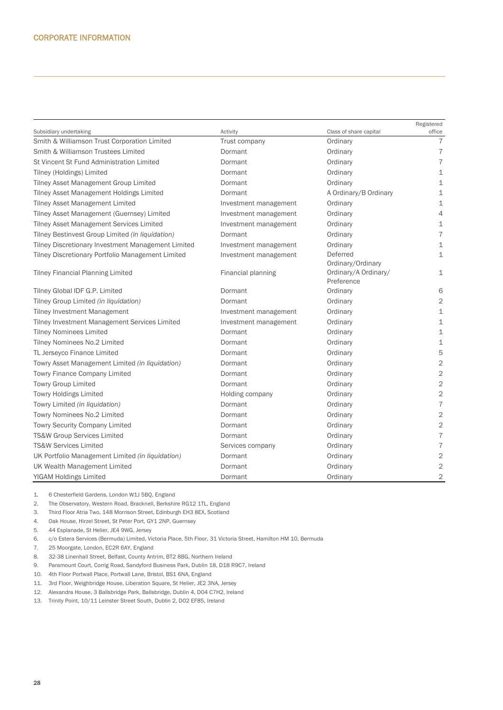|                                                    |                       |                        | Registered               |
|----------------------------------------------------|-----------------------|------------------------|--------------------------|
| Subsidiary undertaking                             | Activity              | Class of share capital | office                   |
| Smith & Williamson Trust Corporation Limited       | Trust company         | Ordinary               | $\overline{7}$           |
| Smith & Williamson Trustees Limited                | Dormant               | Ordinary               | $\overline{7}$           |
| St Vincent St Fund Administration Limited          | Dormant               | Ordinary               | $\overline{7}$           |
| Tilney (Holdings) Limited                          | Dormant               | Ordinary               | $\mathbf 1$              |
| Tilney Asset Management Group Limited              | Dormant               | Ordinary               | 1                        |
| Tilney Asset Management Holdings Limited           | Dormant               | A Ordinary/B Ordinary  | 1                        |
| <b>Tilney Asset Management Limited</b>             | Investment management | Ordinary               | 1                        |
| Tilney Asset Management (Guernsey) Limited         | Investment management | Ordinary               | 4                        |
| Tilney Asset Management Services Limited           | Investment management | Ordinary               | $\mathbf 1$              |
| Tilney Bestinvest Group Limited (in liquidation)   | Dormant               | Ordinary               | $\overline{\mathcal{I}}$ |
| Tilney Discretionary Investment Management Limited | Investment management | Ordinary               | $\perp$                  |
| Tilney Discretionary Portfolio Management Limited  | Investment management | Deferred               | $\mathbf 1$              |
|                                                    |                       | Ordinary/Ordinary      |                          |
| <b>Tilney Financial Planning Limited</b>           | Financial planning    | Ordinary/A Ordinary/   | $\mathbf{1}$             |
|                                                    |                       | Preference             |                          |
| Tilney Global IDF G.P. Limited                     | Dormant               | Ordinary               | 6                        |
| Tilney Group Limited (in liquidation)              | Dormant               | Ordinary               | $\mathbf{2}$             |
| <b>Tilney Investment Management</b>                | Investment management | Ordinary               | $\mathbf 1$              |
| Tilney Investment Management Services Limited      | Investment management | Ordinary               | $\mathbf 1$              |
| <b>Tilney Nominees Limited</b>                     | Dormant               | Ordinary               | $\perp$                  |
| Tilney Nominees No.2 Limited                       | Dormant               | Ordinary               | $\mathbf 1$              |
| TL Jerseyco Finance Limited                        | Dormant               | Ordinary               | 5                        |
| Towry Asset Management Limited (in liquidation)    | Dormant               | Ordinary               | $\overline{2}$           |
| Towry Finance Company Limited                      | Dormant               | Ordinary               | $\sqrt{2}$               |
| <b>Towry Group Limited</b>                         | Dormant               | Ordinary               | $\sqrt{2}$               |
| <b>Towry Holdings Limited</b>                      | Holding company       | Ordinary               | $\mathbf 2$              |
| Towry Limited (in liquidation)                     | Dormant               | Ordinary               | $\overline{7}$           |
| Towry Nominees No.2 Limited                        | Dormant               | Ordinary               | $\sqrt{2}$               |
| <b>Towry Security Company Limited</b>              | Dormant               | Ordinary               | $\mathbf 2$              |
| TS&W Group Services Limited                        | Dormant               | Ordinary               | $\overline{\mathcal{I}}$ |
| <b>TS&amp;W Services Limited</b>                   | Services company      | Ordinary               | $\overline{7}$           |
| UK Portfolio Management Limited (in liquidation)   | Dormant               | Ordinary               | $\overline{2}$           |
| UK Wealth Management Limited                       | Dormant               | Ordinary               | $\sqrt{2}$               |
| <b>YIGAM Holdings Limited</b>                      | Dormant               | Ordinary               | $\overline{c}$           |

1. 6 Chesterfield Gardens, London W1J 5BQ, England

2. The Observatory, Western Road, Bracknell, Berkshire RG12 1TL, England

3. Third Floor Atria Two, 148 Morrison Street, Edinburgh EH3 8EX, Scotland

4. Oak House, Hirzel Street, St Peter Port, GY1 2NP, Guernsey

5. 44 Esplanade, St Helier, JE4 9WG, Jersey

6. c/o Estera Services (Bermuda) Limited, Victoria Place, 5th Floor, 31 Victoria Street, Hamilton HM 10, Bermuda

7. 25 Moorgate, London, EC2R 6AY, England

- 8. 32-38 Linenhall Street, Belfast, County Antrim, BT2 8BG, Northern Ireland
- 9. Paramount Court, Corrig Road, Sandyford Business Park, Dublin 18, D18 R9C7, Ireland

10. 4th Floor Portwall Place, Portwall Lane, Bristol, BS1 6NA, England

- 11. 3rd Floor, Weighbridge House, Liberation Square, St Helier, JE2 3NA, Jersey
- 12. Alexandra House, 3 Ballsbridge Park, Ballsbridge, Dublin 4, D04 C7H2, Ireland

13. Trinity Point, 10/11 Leinster Street South, Dublin 2, D02 EF85, Ireland